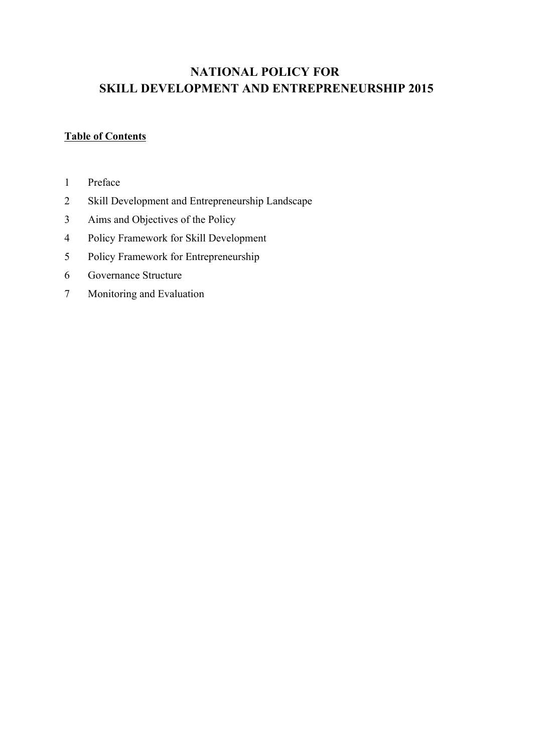# **NATIONAL POLICY FOR SKILL DEVELOPMENT AND ENTREPRENEURSHIP 2015**

## **Table of Contents**

- Preface
- Skill Development and Entrepreneurship Landscape
- Aims and Objectives of the Policy
- Policy Framework for Skill Development
- Policy Framework for Entrepreneurship
- Governance Structure
- Monitoring and Evaluation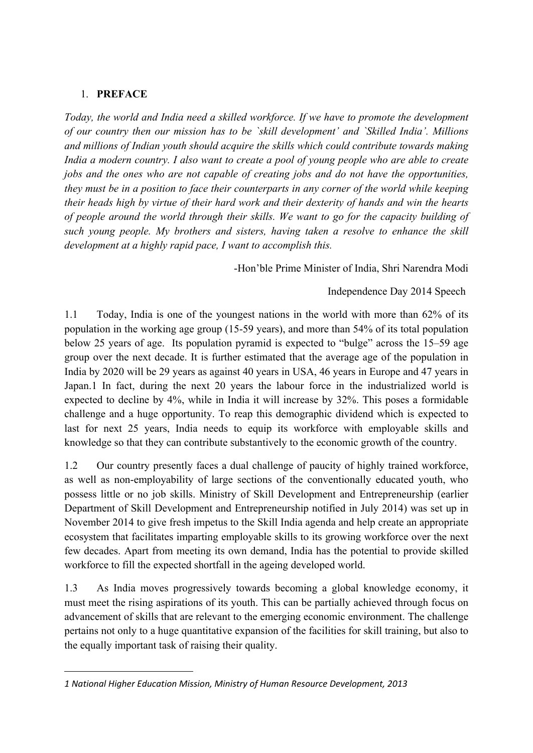#### 1. **PREFACE**

*Today, the world and India need a skilled workforce. If we have to promote the development of our country then our mission has to be `skill development' and `Skilled India'. Millions and millions of Indian youth should acquire the skills which could contribute towards making India a modern country. I also want to create a pool of young people who are able to create jobs and the ones who are not capable of creating jobs and do not have the opportunities, they must be in a position to face their counterparts in any corner of the world while keeping their heads high by virtue of their hard work and their dexterity of hands and win the hearts of people around the world through their skills. We want to go for the capacity building of such young people. My brothers and sisters, having taken a resolve to enhance the skill development at a highly rapid pace, I want to accomplish this.*

Hon'ble Prime Minister of India, Shri Narendra Modi

#### Independence Day 2014 Speech

1.1 Today, India is one of the youngest nations in the world with more than 62% of its population in the working age group (1559 years), and more than 54% of its total population below 25 years of age. Its population pyramid is expected to "bulge" across the 15–59 age group over the next decade. It is further estimated that the average age of the population in India by 2020 will be 29 years as against 40 years in USA, 46 years in Europe and 47 years in Japan.1 In fact, during the next 20 years the labour force in the industrialized world is expected to decline by 4%, while in India it will increase by 32%. This poses a formidable challenge and a huge opportunity. To reap this demographic dividend which is expected to last for next 25 years, India needs to equip its workforce with employable skills and knowledge so that they can contribute substantively to the economic growth of the country.

1.2 Our country presently faces a dual challenge of paucity of highly trained workforce, as well as non-employability of large sections of the conventionally educated youth, who possess little or no job skills. Ministry of Skill Development and Entrepreneurship (earlier Department of Skill Development and Entrepreneurship notified in July 2014) was set up in November 2014 to give fresh impetus to the Skill India agenda and help create an appropriate ecosystem that facilitates imparting employable skills to its growing workforce over the next few decades. Apart from meeting its own demand, India has the potential to provide skilled workforce to fill the expected shortfall in the ageing developed world.

1.3 As India moves progressively towards becoming a global knowledge economy, it must meet the rising aspirations of its youth. This can be partially achieved through focus on advancement of skills that are relevant to the emerging economic environment. The challenge pertains not only to a huge quantitative expansion of the facilities for skill training, but also to the equally important task of raising their quality.

*<sup>1</sup> National Higher Education Mission, Ministry of Human Resource Development, 2013*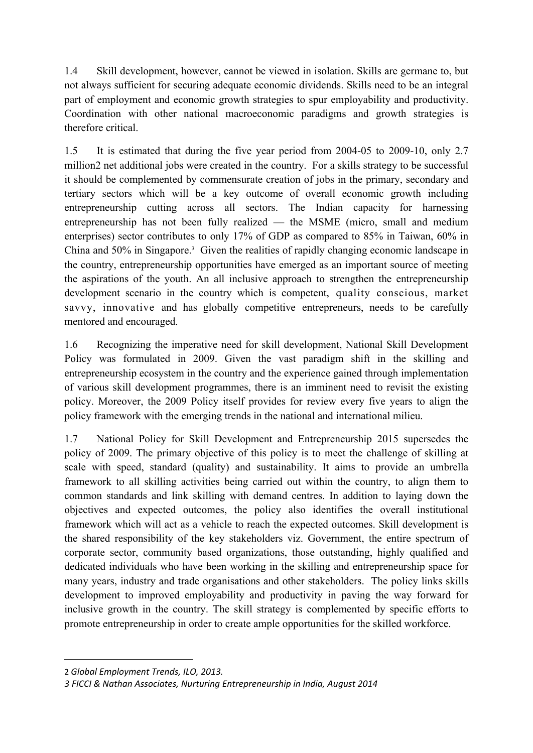1.4 Skill development, however, cannot be viewed in isolation. Skills are germane to, but not always sufficient for securing adequate economic dividends. Skills need to be an integral part of employment and economic growth strategies to spur employability and productivity. Coordination with other national macroeconomic paradigms and growth strategies is therefore critical.

1.5 It is estimated that during the five year period from 2004-05 to 2009-10, only 2.7 million2 net additional jobs were created in the country. For a skills strategy to be successful it should be complemented by commensurate creation of jobs in the primary, secondary and tertiary sectors which will be a key outcome of overall economic growth including entrepreneurship cutting across all sectors. The Indian capacity for harnessing entrepreneurship has not been fully realized  $-$  the MSME (micro, small and medium enterprises) sector contributes to only 17% of GDP as compared to 85% in Taiwan, 60% in China and 50% in Singapore.<sup>3</sup> Given the realities of rapidly changing economic landscape in the country, entrepreneurship opportunities have emerged as an important source of meeting the aspirations of the youth. An all inclusive approach to strengthen the entrepreneurship development scenario in the country which is competent, quality conscious, market savvy, innovative and has globally competitive entrepreneurs, needs to be carefully mentored and encouraged.

1.6 Recognizing the imperative need for skill development, National Skill Development Policy was formulated in 2009. Given the vast paradigm shift in the skilling and entrepreneurship ecosystem in the country and the experience gained through implementation of various skill development programmes, there is an imminent need to revisit the existing policy. Moreover, the 2009 Policy itself provides for review every five years to align the policy framework with the emerging trends in the national and international milieu.

1.7 National Policy for Skill Development and Entrepreneurship 2015 supersedes the policy of 2009. The primary objective of this policy is to meet the challenge of skilling at scale with speed, standard (quality) and sustainability. It aims to provide an umbrella framework to all skilling activities being carried out within the country, to align them to common standards and link skilling with demand centres. In addition to laying down the objectives and expected outcomes, the policy also identifies the overall institutional framework which will act as a vehicle to reach the expected outcomes. Skill development is the shared responsibility of the key stakeholders viz. Government, the entire spectrum of corporate sector, community based organizations, those outstanding, highly qualified and dedicated individuals who have been working in the skilling and entrepreneurship space for many years, industry and trade organisations and other stakeholders. The policy links skills development to improved employability and productivity in paving the way forward for inclusive growth in the country. The skill strategy is complemented by specific efforts to promote entrepreneurship in order to create ample opportunities for the skilled workforce.

<sup>2</sup> *Global Employment Trends, ILO, 2013.*

*<sup>3</sup> FICCI & Nathan Associates, Nurturing Entrepreneurship in India, August 2014*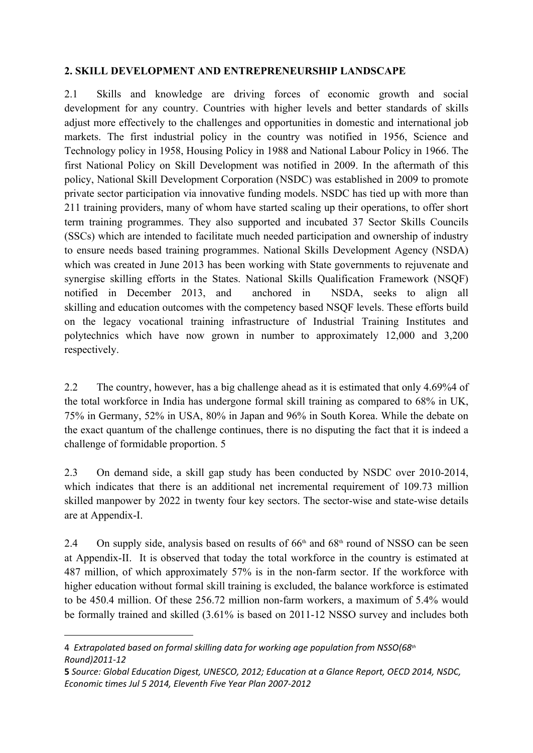#### **2. SKILL DEVELOPMENT AND ENTREPRENEURSHIP LANDSCAPE**

2.1 Skills and knowledge are driving forces of economic growth and social development for any country. Countries with higher levels and better standards of skills adjust more effectively to the challenges and opportunities in domestic and international job markets. The first industrial policy in the country was notified in 1956, Science and Technology policy in 1958, Housing Policy in 1988 and National Labour Policy in 1966. The first National Policy on Skill Development was notified in 2009. In the aftermath of this policy, National Skill Development Corporation (NSDC) was established in 2009 to promote private sector participation via innovative funding models. NSDC has tied up with more than 211 training providers, many of whom have started scaling up their operations, to offer short term training programmes. They also supported and incubated 37 Sector Skills Councils (SSCs) which are intended to facilitate much needed participation and ownership of industry to ensure needs based training programmes. National Skills Development Agency (NSDA) which was created in June 2013 has been working with State governments to rejuvenate and synergise skilling efforts in the States. National Skills Qualification Framework (NSQF) notified in December 2013, and anchored in NSDA, seeks to align all skilling and education outcomes with the competency based NSQF levels. These efforts build on the legacy vocational training infrastructure of Industrial Training Institutes and polytechnics which have now grown in number to approximately 12,000 and 3,200 respectively.

2.2 The country, however, has a big challenge ahead as it is estimated that only 4.69%4 of the total workforce in India has undergone formal skill training as compared to 68% in UK, 75% in Germany, 52% in USA, 80% in Japan and 96% in South Korea. While the debate on the exact quantum of the challenge continues, there is no disputing the fact that it is indeed a challenge of formidable proportion. 5

2.3 On demand side, a skill gap study has been conducted by NSDC over 2010-2014, which indicates that there is an additional net incremental requirement of 109.73 million skilled manpower by 2022 in twenty four key sectors. The sector-wise and state-wise details are at Appendix-I.

2.4 On supply side, analysis based on results of  $66<sup>th</sup>$  and  $68<sup>th</sup>$  round of NSSO can be seen at Appendix-II. It is observed that today the total workforce in the country is estimated at 487 million, of which approximately 57% is in the non-farm sector. If the workforce with higher education without formal skill training is excluded, the balance workforce is estimated to be  $450.4$  million. Of these  $256.72$  million non-farm workers, a maximum of  $5.4\%$  would be formally trained and skilled (3.61% is based on 2011-12 NSSO survey and includes both

<sup>4</sup>  *Extrapolated based on formal skilling data for working age population from NSSO(68th Round)2011‐12*

**<sup>5</sup>** *Source: Global Education Digest, UNESCO, 2012; Education at a Glance Report, OECD 2014, NSDC, Economic times Jul 5 2014, Eleventh Five Year Plan 2007‐2012*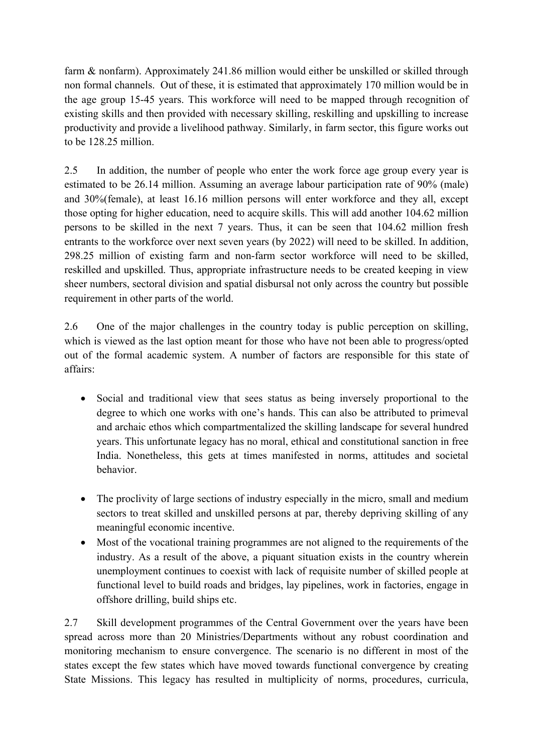farm & nonfarm). Approximately 241.86 million would either be unskilled or skilled through non formal channels. Out of these, it is estimated that approximately 170 million would be in the age group 15-45 years. This workforce will need to be mapped through recognition of existing skills and then provided with necessary skilling, reskilling and upskilling to increase productivity and provide a livelihood pathway. Similarly, in farm sector, this figure works out to be 128.25 million.

2.5 In addition, the number of people who enter the work force age group every year is estimated to be 26.14 million. Assuming an average labour participation rate of 90% (male) and 30%(female), at least 16.16 million persons will enter workforce and they all, except those opting for higher education, need to acquire skills. This will add another 104.62 million persons to be skilled in the next 7 years. Thus, it can be seen that 104.62 million fresh entrants to the workforce over next seven years (by 2022) will need to be skilled. In addition, 298.25 million of existing farm and non-farm sector workforce will need to be skilled, reskilled and upskilled. Thus, appropriate infrastructure needs to be created keeping in view sheer numbers, sectoral division and spatial disbursal not only across the country but possible requirement in other parts of the world.

2.6 One of the major challenges in the country today is public perception on skilling, which is viewed as the last option meant for those who have not been able to progress/opted out of the formal academic system. A number of factors are responsible for this state of affairs:

- Social and traditional view that sees status as being inversely proportional to the degree to which one works with one's hands. This can also be attributed to primeval and archaic ethos which compartmentalized the skilling landscape for several hundred years. This unfortunate legacy has no moral, ethical and constitutional sanction in free India. Nonetheless, this gets at times manifested in norms, attitudes and societal behavior.
- The proclivity of large sections of industry especially in the micro, small and medium sectors to treat skilled and unskilled persons at par, thereby depriving skilling of any meaningful economic incentive.
- Most of the vocational training programmes are not aligned to the requirements of the industry. As a result of the above, a piquant situation exists in the country wherein unemployment continues to coexist with lack of requisite number of skilled people at functional level to build roads and bridges, lay pipelines, work in factories, engage in offshore drilling, build ships etc.

2.7 Skill development programmes of the Central Government over the years have been spread across more than 20 Ministries/Departments without any robust coordination and monitoring mechanism to ensure convergence. The scenario is no different in most of the states except the few states which have moved towards functional convergence by creating State Missions. This legacy has resulted in multiplicity of norms, procedures, curricula,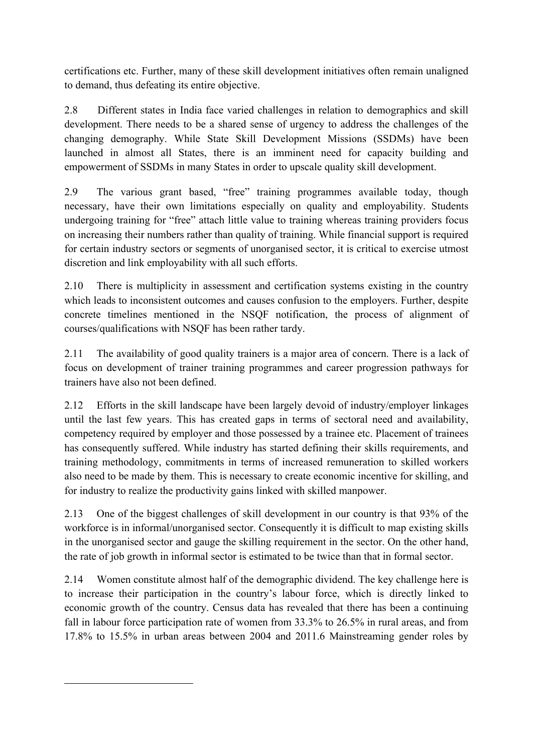certifications etc. Further, many of these skill development initiatives often remain unaligned to demand, thus defeating its entire objective.

2.8 Different states in India face varied challenges in relation to demographics and skill development. There needs to be a shared sense of urgency to address the challenges of the changing demography. While State Skill Development Missions (SSDMs) have been launched in almost all States, there is an imminent need for capacity building and empowerment of SSDMs in many States in order to upscale quality skill development.

2.9 The various grant based, "free" training programmes available today, though necessary, have their own limitations especially on quality and employability. Students undergoing training for "free" attach little value to training whereas training providers focus on increasing their numbers rather than quality of training. While financial support is required for certain industry sectors or segments of unorganised sector, it is critical to exercise utmost discretion and link employability with all such efforts.

2.10 There is multiplicity in assessment and certification systems existing in the country which leads to inconsistent outcomes and causes confusion to the employers. Further, despite concrete timelines mentioned in the NSQF notification, the process of alignment of courses/qualifications with NSQF has been rather tardy.

2.11 The availability of good quality trainers is a major area of concern. There is a lack of focus on development of trainer training programmes and career progression pathways for trainers have also not been defined.

2.12 Efforts in the skill landscape have been largely devoid of industry/employer linkages until the last few years. This has created gaps in terms of sectoral need and availability, competency required by employer and those possessed by a trainee etc. Placement of trainees has consequently suffered. While industry has started defining their skills requirements, and training methodology, commitments in terms of increased remuneration to skilled workers also need to be made by them. This is necessary to create economic incentive for skilling, and for industry to realize the productivity gains linked with skilled manpower.

2.13 One of the biggest challenges of skill development in our country is that 93% of the workforce is in informal/unorganised sector. Consequently it is difficult to map existing skills in the unorganised sector and gauge the skilling requirement in the sector. On the other hand, the rate of job growth in informal sector is estimated to be twice than that in formal sector.

2.14 Women constitute almost half of the demographic dividend. The key challenge here is to increase their participation in the country's labour force, which is directly linked to economic growth of the country. Census data has revealed that there has been a continuing fall in labour force participation rate of women from 33.3% to 26.5% in rural areas, and from 17.8% to 15.5% in urban areas between 2004 and 2011.6 Mainstreaming gender roles by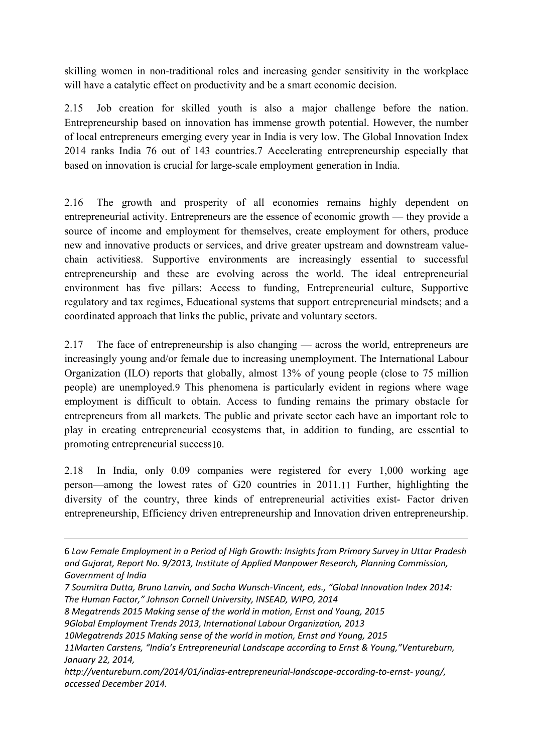skilling women in non-traditional roles and increasing gender sensitivity in the workplace will have a catalytic effect on productivity and be a smart economic decision.

2.15 Job creation for skilled youth is also a major challenge before the nation. Entrepreneurship based on innovation has immense growth potential. However, the number of local entrepreneurs emerging every year in India is very low. The Global Innovation Index 2014 ranks India 76 out of 143 countries.7 Accelerating entrepreneurship especially that based on innovation is crucial for large-scale employment generation in India.

2.16 The growth and prosperity of all economies remains highly dependent on entrepreneurial activity. Entrepreneurs are the essence of economic growth — they provide a source of income and employment for themselves, create employment for others, produce new and innovative products or services, and drive greater upstream and downstream valuechain activities8. Supportive environments are increasingly essential to successful entrepreneurship and these are evolving across the world. The ideal entrepreneurial environment has five pillars: Access to funding, Entrepreneurial culture, Supportive regulatory and tax regimes, Educational systems that support entrepreneurial mindsets; and a coordinated approach that links the public, private and voluntary sectors.

2.17 The face of entrepreneurship is also changing — across the world, entrepreneurs are increasingly young and/or female due to increasing unemployment. The International Labour Organization (ILO) reports that globally, almost 13% of young people (close to 75 million people) are unemployed.9 This phenomena is particularly evident in regions where wage employment is difficult to obtain. Access to funding remains the primary obstacle for entrepreneurs from all markets. The public and private sector each have an important role to play in creating entrepreneurial ecosystems that, in addition to funding, are essential to promoting entrepreneurial success10.

2.18 In India, only 0.09 companies were registered for every 1,000 working age person—among the lowest rates of G20 countries in 2011.11 Further, highlighting the diversity of the country, three kinds of entrepreneurial activities exist- Factor driven entrepreneurship, Efficiency driven entrepreneurship and Innovation driven entrepreneurship.

6 *Low Female Employment in a Period of High Growth: Insights from Primary Survey in Uttar Pradesh and Gujarat, Report No. 9/2013, Institute of Applied Manpower Research, Planning Commission, Government of India*

*8 Megatrends 2015 Making sense of the world in motion, Ernst and Young, 2015*

*<sup>7</sup> Soumitra Dutta, Bruno Lanvin, and Sacha Wunsch‐Vincent, eds., "Global Innovation Index 2014: The Human Factor," Johnson Cornell University, INSEAD, WIPO, 2014*

*<sup>9</sup>Global Employment Trends 2013, International Labour Organization, 2013*

*<sup>10</sup>Megatrends 2015 Making sense of the world in motion, Ernst and Young, 2015*

*<sup>11</sup>Marten Carstens, "India's Entrepreneurial Landscape according to Ernst & Young,"Ventureburn, January 22, 2014,* 

*http://ventureburn.com/2014/01/indias‐entrepreneurial‐landscape‐according‐to‐ernst‐ young/, accessed December 2014.*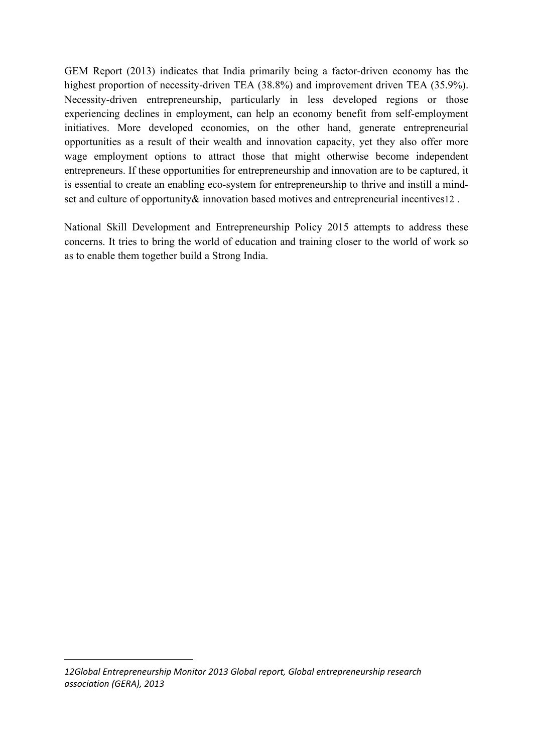GEM Report (2013) indicates that India primarily being a factor-driven economy has the highest proportion of necessity-driven TEA (38.8%) and improvement driven TEA (35.9%). Necessity-driven entrepreneurship, particularly in less developed regions or those experiencing declines in employment, can help an economy benefit from self-employment initiatives. More developed economies, on the other hand, generate entrepreneurial opportunities as a result of their wealth and innovation capacity, yet they also offer more wage employment options to attract those that might otherwise become independent entrepreneurs. If these opportunities for entrepreneurship and innovation are to be captured, it is essential to create an enabling eco-system for entrepreneurship to thrive and instill a mindset and culture of opportunity & innovation based motives and entrepreneurial incentives 12.

National Skill Development and Entrepreneurship Policy 2015 attempts to address these concerns. It tries to bring the world of education and training closer to the world of work so as to enable them together build a Strong India.

*12Global Entrepreneurship Monitor 2013 Global report, Global entrepreneurship research association (GERA), 2013*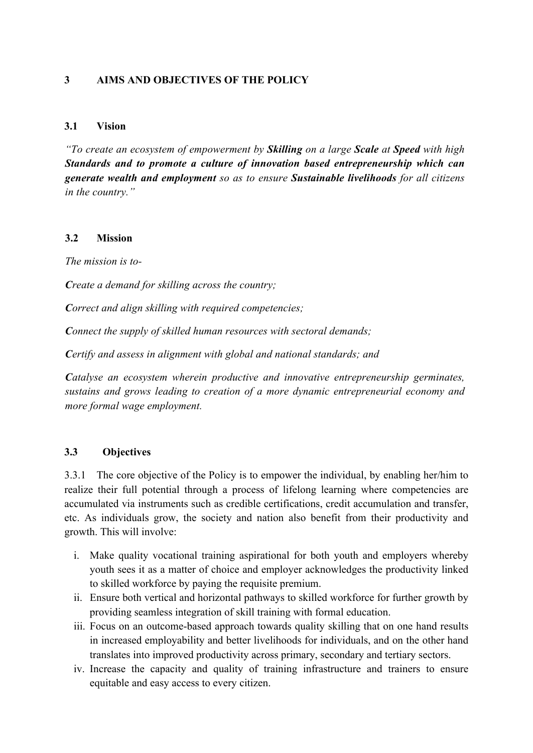#### **3 AIMS AND OBJECTIVES OF THE POLICY**

#### **3.1 Vision**

*"To create an ecosystem of empowerment by Skilling on a large Scale at Speed with high Standards and to promote a culture of innovation based entrepreneurship which can generate wealth and employment so as to ensure Sustainable livelihoods for all citizens in the country."*

#### **3.2 Mission**

*The mission is to*

*Create a demand for skilling across the country;*

*Correct and align skilling with required competencies;*

*Connect the supply of skilled human resources with sectoral demands;*

*Certify and assess in alignment with global and national standards; and*

*Catalyse an ecosystem wherein productive and innovative entrepreneurship germinates, sustains and grows leading to creation of a more dynamic entrepreneurial economy and more formal wage employment.*

#### **3.3 Objectives**

3.3.1 The core objective of the Policy is to empower the individual, by enabling her/him to realize their full potential through a process of lifelong learning where competencies are accumulated via instruments such as credible certifications, credit accumulation and transfer, etc. As individuals grow, the society and nation also benefit from their productivity and growth. This will involve:

- i. Make quality vocational training aspirational for both youth and employers whereby youth sees it as a matter of choice and employer acknowledges the productivity linked to skilled workforce by paying the requisite premium.
- ii. Ensure both vertical and horizontal pathways to skilled workforce for further growth by providing seamless integration of skill training with formal education.
- iii. Focus on an outcome-based approach towards quality skilling that on one hand results in increased employability and better livelihoods for individuals, and on the other hand translates into improved productivity across primary, secondary and tertiary sectors.
- iv. Increase the capacity and quality of training infrastructure and trainers to ensure equitable and easy access to every citizen.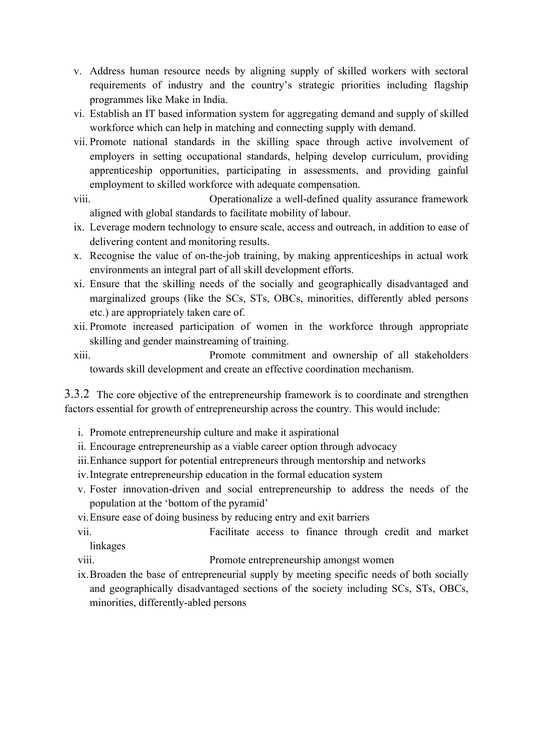- v. Address human resource needs by aligning supply of skilled workers with sectoral requirements of industry and the country's strategic priorities including flagship programmes like Make in India.
- vi. Establish an IT based information system for aggregating demand and supply of skilled workforce which can help in matching and connecting supply with demand.
- vii. Promote national standards in the skilling space through active involvement of employers in setting occupational standards, helping develop curriculum, providing apprenticeship opportunities, participating in assessments, and providing gainful employment to skilled workforce with adequate compensation.

viii. Operationalize a well-defined quality assurance framework aligned with global standards to facilitate mobility of labour.

- ix. Leverage modern technology to ensure scale, access and outreach, in addition to ease of delivering content and monitoring results.
- x. Recognise the value of on-the-job training, by making apprenticeships in actual work environments an integral part of all skill development efforts.
- xi. Ensure that the skilling needs of the socially and geographically disadvantaged and marginalized groups (like the SCs, STs, OBCs, minorities, differently abled persons etc.) are appropriately taken care of.
- xii. Promote increased participation of women in the workforce through appropriate skilling and gender mainstreaming of training.
- xiii. Promote commitment and ownership of all stakeholders towards skill development and create an effective coordination mechanism.

3.3.2 The core objective of the entrepreneurship framework is to coordinate and strengthen factors essential for growth of entrepreneurship across the country. This would include:

- i. Promote entrepreneurship culture and make it aspirational
- ii. Encourage entrepreneurship as a viable career option through advocacy
- iii.Enhance support for potential entrepreneurs through mentorship and networks
- iv.Integrate entrepreneurship education in the formal education system
- v. Foster innovation-driven and social entrepreneurship to address the needs of the population at the 'bottom of the pyramid'
- vi.Ensure ease of doing business by reducing entry and exit barriers

vii. Facilitate access to finance through credit and market linkages

- viii. Promote entrepreneurship amongst women
- ix.Broaden the base of entrepreneurial supply by meeting specific needs of both socially and geographically disadvantaged sections of the society including SCs, STs, OBCs, minorities, differently-abled persons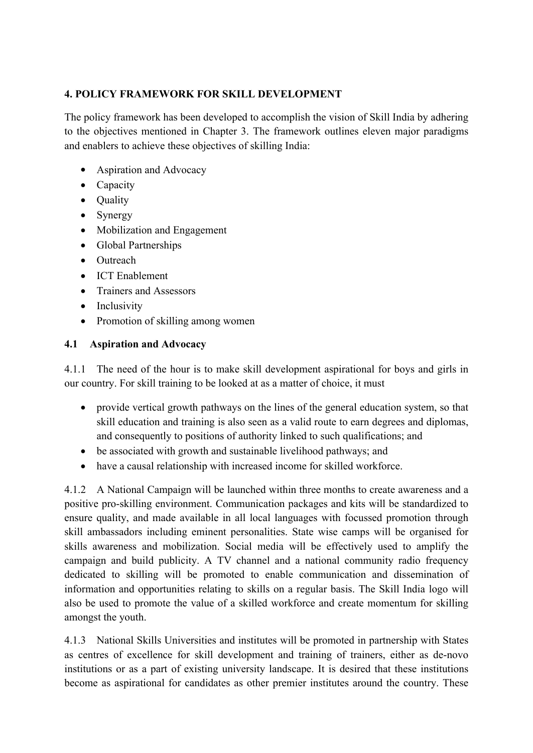## **4. POLICY FRAMEWORK FOR SKILL DEVELOPMENT**

The policy framework has been developed to accomplish the vision of Skill India by adhering to the objectives mentioned in Chapter 3. The framework outlines eleven major paradigms and enablers to achieve these objectives of skilling India:

- Aspiration and Advocacy
- $\bullet$  Capacity
- Ouality
- $\bullet$  Synergy
- Mobilization and Engagement
- Global Partnerships
- $\bullet$  Outreach
- ICT Enablement
- Trainers and Assessors
- $\bullet$  Inclusivity
- Promotion of skilling among women

#### **4.1 Aspiration and Advocacy**

4.1.1 The need of the hour is to make skill development aspirational for boys and girls in our country. For skill training to be looked at as a matter of choice, it must

- provide vertical growth pathways on the lines of the general education system, so that skill education and training is also seen as a valid route to earn degrees and diplomas, and consequently to positions of authority linked to such qualifications; and
- $\bullet$  be associated with growth and sustainable livelihood pathways; and
- have a causal relationship with increased income for skilled workforce.

4.1.2 A National Campaign will be launched within three months to create awareness and a positive proskilling environment. Communication packages and kits will be standardized to ensure quality, and made available in all local languages with focussed promotion through skill ambassadors including eminent personalities. State wise camps will be organised for skills awareness and mobilization. Social media will be effectively used to amplify the campaign and build publicity. A TV channel and a national community radio frequency dedicated to skilling will be promoted to enable communication and dissemination of information and opportunities relating to skills on a regular basis. The Skill India logo will also be used to promote the value of a skilled workforce and create momentum for skilling amongst the youth.

4.1.3 National Skills Universities and institutes will be promoted in partnership with States as centres of excellence for skill development and training of trainers, either as de-novo institutions or as a part of existing university landscape. It is desired that these institutions become as aspirational for candidates as other premier institutes around the country. These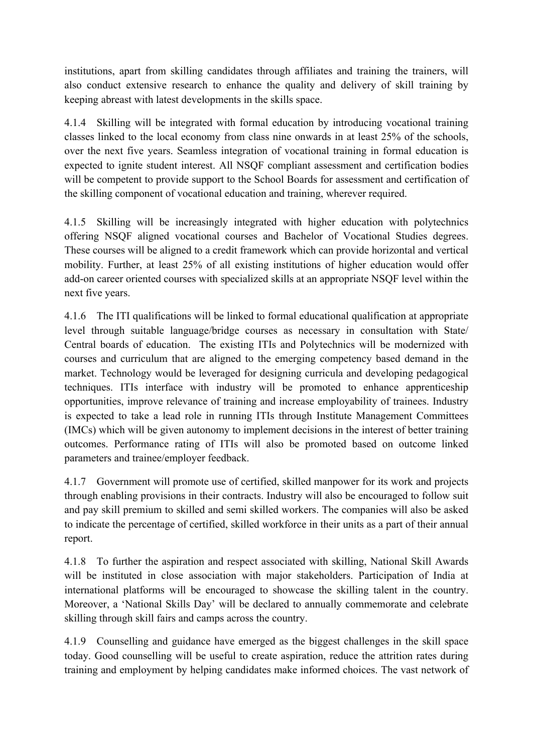institutions, apart from skilling candidates through affiliates and training the trainers, will also conduct extensive research to enhance the quality and delivery of skill training by keeping abreast with latest developments in the skills space.

4.1.4 Skilling will be integrated with formal education by introducing vocational training classes linked to the local economy from class nine onwards in at least 25% of the schools, over the next five years. Seamless integration of vocational training in formal education is expected to ignite student interest. All NSQF compliant assessment and certification bodies will be competent to provide support to the School Boards for assessment and certification of the skilling component of vocational education and training, wherever required.

4.1.5 Skilling will be increasingly integrated with higher education with polytechnics offering NSQF aligned vocational courses and Bachelor of Vocational Studies degrees. These courses will be aligned to a credit framework which can provide horizontal and vertical mobility. Further, at least 25% of all existing institutions of higher education would offer add-on career oriented courses with specialized skills at an appropriate NSQF level within the next five years.

4.1.6 The ITI qualifications will be linked to formal educational qualification at appropriate level through suitable language/bridge courses as necessary in consultation with State/ Central boards of education. The existing ITIs and Polytechnics will be modernized with courses and curriculum that are aligned to the emerging competency based demand in the market. Technology would be leveraged for designing curricula and developing pedagogical techniques. ITIs interface with industry will be promoted to enhance apprenticeship opportunities, improve relevance of training and increase employability of trainees. Industry is expected to take a lead role in running ITIs through Institute Management Committees (IMCs) which will be given autonomy to implement decisions in the interest of better training outcomes. Performance rating of ITIs will also be promoted based on outcome linked parameters and trainee/employer feedback.

4.1.7 Government will promote use of certified, skilled manpower for its work and projects through enabling provisions in their contracts. Industry will also be encouraged to follow suit and pay skill premium to skilled and semi skilled workers. The companies will also be asked to indicate the percentage of certified, skilled workforce in their units as a part of their annual report.

4.1.8 To further the aspiration and respect associated with skilling, National Skill Awards will be instituted in close association with major stakeholders. Participation of India at international platforms will be encouraged to showcase the skilling talent in the country. Moreover, a 'National Skills Day' will be declared to annually commemorate and celebrate skilling through skill fairs and camps across the country.

4.1.9 Counselling and guidance have emerged as the biggest challenges in the skill space today. Good counselling will be useful to create aspiration, reduce the attrition rates during training and employment by helping candidates make informed choices. The vast network of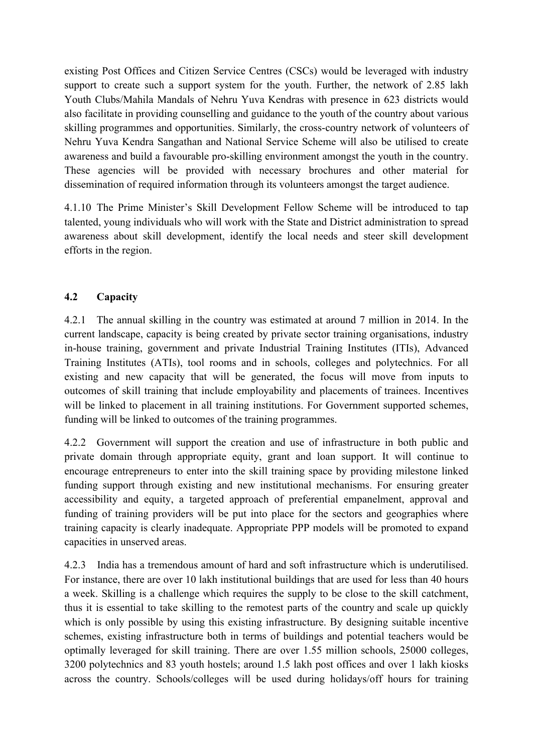existing Post Offices and Citizen Service Centres (CSCs) would be leveraged with industry support to create such a support system for the youth. Further, the network of 2.85 lakh Youth Clubs/Mahila Mandals of Nehru Yuva Kendras with presence in 623 districts would also facilitate in providing counselling and guidance to the youth of the country about various skilling programmes and opportunities. Similarly, the cross-country network of volunteers of Nehru Yuva Kendra Sangathan and National Service Scheme will also be utilised to create awareness and build a favourable pro-skilling environment amongst the youth in the country. These agencies will be provided with necessary brochures and other material for dissemination of required information through its volunteers amongst the target audience.

4.1.10 The Prime Minister's Skill Development Fellow Scheme will be introduced to tap talented, young individuals who will work with the State and District administration to spread awareness about skill development, identify the local needs and steer skill development efforts in the region.

## **4.2 Capacity**

4.2.1 The annual skilling in the country was estimated at around 7 million in 2014. In the current landscape, capacity is being created by private sector training organisations, industry in-house training, government and private Industrial Training Institutes (ITIs), Advanced Training Institutes (ATIs), tool rooms and in schools, colleges and polytechnics. For all existing and new capacity that will be generated, the focus will move from inputs to outcomes of skill training that include employability and placements of trainees. Incentives will be linked to placement in all training institutions. For Government supported schemes, funding will be linked to outcomes of the training programmes.

4.2.2 Government will support the creation and use of infrastructure in both public and private domain through appropriate equity, grant and loan support. It will continue to encourage entrepreneurs to enter into the skill training space by providing milestone linked funding support through existing and new institutional mechanisms. For ensuring greater accessibility and equity, a targeted approach of preferential empanelment, approval and funding of training providers will be put into place for the sectors and geographies where training capacity is clearly inadequate. Appropriate PPP models will be promoted to expand capacities in unserved areas.

4.2.3 India has a tremendous amount of hard and soft infrastructure which is underutilised. For instance, there are over 10 lakh institutional buildings that are used for less than 40 hours a week. Skilling is a challenge which requires the supply to be close to the skill catchment, thus it is essential to take skilling to the remotest parts of the country and scale up quickly which is only possible by using this existing infrastructure. By designing suitable incentive schemes, existing infrastructure both in terms of buildings and potential teachers would be optimally leveraged for skill training. There are over 1.55 million schools, 25000 colleges, 3200 polytechnics and 83 youth hostels; around 1.5 lakh post offices and over 1 lakh kiosks across the country. Schools/colleges will be used during holidays/off hours for training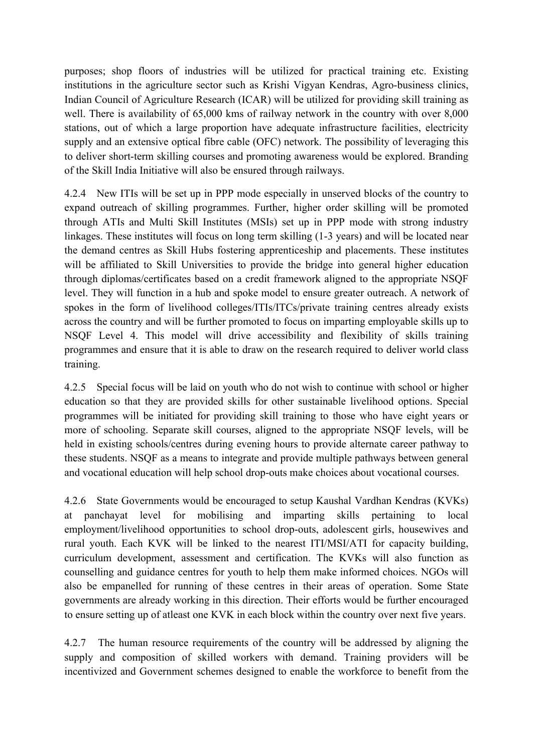purposes; shop floors of industries will be utilized for practical training etc. Existing institutions in the agriculture sector such as Krishi Vigyan Kendras, Agro-business clinics, Indian Council of Agriculture Research (ICAR) will be utilized for providing skill training as well. There is availability of 65,000 kms of railway network in the country with over 8,000 stations, out of which a large proportion have adequate infrastructure facilities, electricity supply and an extensive optical fibre cable (OFC) network. The possibility of leveraging this to deliver short-term skilling courses and promoting awareness would be explored. Branding of the Skill India Initiative will also be ensured through railways.

4.2.4 New ITIs will be set up in PPP mode especially in unserved blocks of the country to expand outreach of skilling programmes. Further, higher order skilling will be promoted through ATIs and Multi Skill Institutes (MSIs) set up in PPP mode with strong industry linkages. These institutes will focus on long term skilling (1-3 years) and will be located near the demand centres as Skill Hubs fostering apprenticeship and placements. These institutes will be affiliated to Skill Universities to provide the bridge into general higher education through diplomas/certificates based on a credit framework aligned to the appropriate NSQF level. They will function in a hub and spoke model to ensure greater outreach. A network of spokes in the form of livelihood colleges/ITIs/ITCs/private training centres already exists across the country and will be further promoted to focus on imparting employable skills up to NSQF Level 4. This model will drive accessibility and flexibility of skills training programmes and ensure that it is able to draw on the research required to deliver world class training.

4.2.5 Special focus will be laid on youth who do not wish to continue with school or higher education so that they are provided skills for other sustainable livelihood options. Special programmes will be initiated for providing skill training to those who have eight years or more of schooling. Separate skill courses, aligned to the appropriate NSQF levels, will be held in existing schools/centres during evening hours to provide alternate career pathway to these students. NSQF as a means to integrate and provide multiple pathways between general and vocational education will help school drop-outs make choices about vocational courses.

4.2.6 State Governments would be encouraged to setup Kaushal Vardhan Kendras (KVKs) at panchayat level for mobilising and imparting skills pertaining to local employment/livelihood opportunities to school drop-outs, adolescent girls, housewives and rural youth. Each KVK will be linked to the nearest ITI/MSI/ATI for capacity building, curriculum development, assessment and certification. The KVKs will also function as counselling and guidance centres for youth to help them make informed choices. NGOs will also be empanelled for running of these centres in their areas of operation. Some State governments are already working in this direction. Their efforts would be further encouraged to ensure setting up of atleast one KVK in each block within the country over next five years.

4.2.7 The human resource requirements of the country will be addressed by aligning the supply and composition of skilled workers with demand. Training providers will be incentivized and Government schemes designed to enable the workforce to benefit from the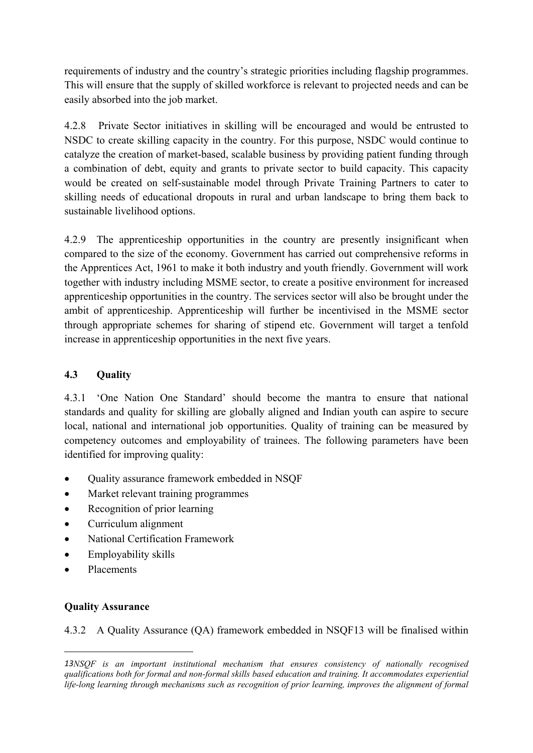requirements of industry and the country's strategic priorities including flagship programmes. This will ensure that the supply of skilled workforce is relevant to projected needs and can be easily absorbed into the job market.

4.2.8 Private Sector initiatives in skilling will be encouraged and would be entrusted to NSDC to create skilling capacity in the country. For this purpose, NSDC would continue to catalyze the creation of market-based, scalable business by providing patient funding through a combination of debt, equity and grants to private sector to build capacity. This capacity would be created on self-sustainable model through Private Training Partners to cater to skilling needs of educational dropouts in rural and urban landscape to bring them back to sustainable livelihood options.

4.2.9 The apprenticeship opportunities in the country are presently insignificant when compared to the size of the economy. Government has carried out comprehensive reforms in the Apprentices Act, 1961 to make it both industry and youth friendly. Government will work together with industry including MSME sector, to create a positive environment for increased apprenticeship opportunities in the country. The services sector will also be brought under the ambit of apprenticeship. Apprenticeship will further be incentivised in the MSME sector through appropriate schemes for sharing of stipend etc. Government will target a tenfold increase in apprenticeship opportunities in the next five years.

## **4.3 Quality**

4.3.1 'One Nation One Standard' should become the mantra to ensure that national standards and quality for skilling are globally aligned and Indian youth can aspire to secure local, national and international job opportunities. Quality of training can be measured by competency outcomes and employability of trainees. The following parameters have been identified for improving quality:

- Quality assurance framework embedded in NSOF
- Market relevant training programmes
- Recognition of prior learning
- $\bullet$  Curriculum alignment
- National Certification Framework
- $\bullet$  Employability skills
- Placements

## **Quality Assurance**

4.3.2 A Quality Assurance (QA) framework embedded in NSQF13 will be finalised within

*<sup>13</sup>NSQF is an important institutional mechanism that ensures consistency of nationally recognised qualifications both for formal and nonformal skills based education and training. It accommodates experiential life-long learning through mechanisms such as recognition of prior learning, improves the alignment of formal*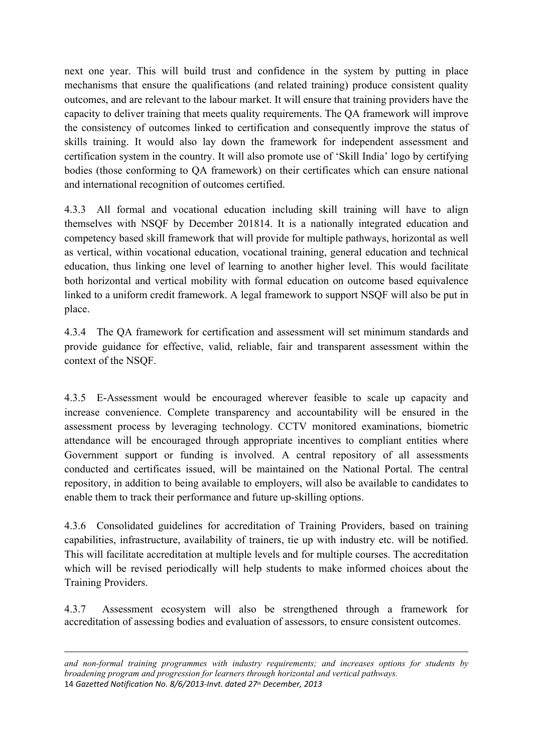next one year. This will build trust and confidence in the system by putting in place mechanisms that ensure the qualifications (and related training) produce consistent quality outcomes, and are relevant to the labour market. It will ensure that training providers have the capacity to deliver training that meets quality requirements. The QA framework will improve the consistency of outcomes linked to certification and consequently improve the status of skills training. It would also lay down the framework for independent assessment and certification system in the country. It will also promote use of 'Skill India' logo by certifying bodies (those conforming to QA framework) on their certificates which can ensure national and international recognition of outcomes certified.

4.3.3 All formal and vocational education including skill training will have to align themselves with NSQF by December 201814. It is a nationally integrated education and competency based skill framework that will provide for multiple pathways, horizontal as well as vertical, within vocational education, vocational training, general education and technical education, thus linking one level of learning to another higher level. This would facilitate both horizontal and vertical mobility with formal education on outcome based equivalence linked to a uniform credit framework. A legal framework to support NSQF will also be put in place.

4.3.4 The QA framework for certification and assessment will set minimum standards and provide guidance for effective, valid, reliable, fair and transparent assessment within the context of the NSQF.

4.3.5 EAssessment would be encouraged wherever feasible to scale up capacity and increase convenience. Complete transparency and accountability will be ensured in the assessment process by leveraging technology. CCTV monitored examinations, biometric attendance will be encouraged through appropriate incentives to compliant entities where Government support or funding is involved. A central repository of all assessments conducted and certificates issued, will be maintained on the National Portal. The central repository, in addition to being available to employers, will also be available to candidates to enable them to track their performance and future up-skilling options.

4.3.6 Consolidated guidelines for accreditation of Training Providers, based on training capabilities, infrastructure, availability of trainers, tie up with industry etc. will be notified. This will facilitate accreditation at multiple levels and for multiple courses. The accreditation which will be revised periodically will help students to make informed choices about the Training Providers.

4.3.7 Assessment ecosystem will also be strengthened through a framework for accreditation of assessing bodies and evaluation of assessors, to ensure consistent outcomes.

*and nonformal training programmes with industry requirements; and increases options for students by broadening program and progression for learners through horizontal and vertical pathways.* 14 *Gazetted Notification No. 8/6/2013‐Invt. dated 27th December, 2013*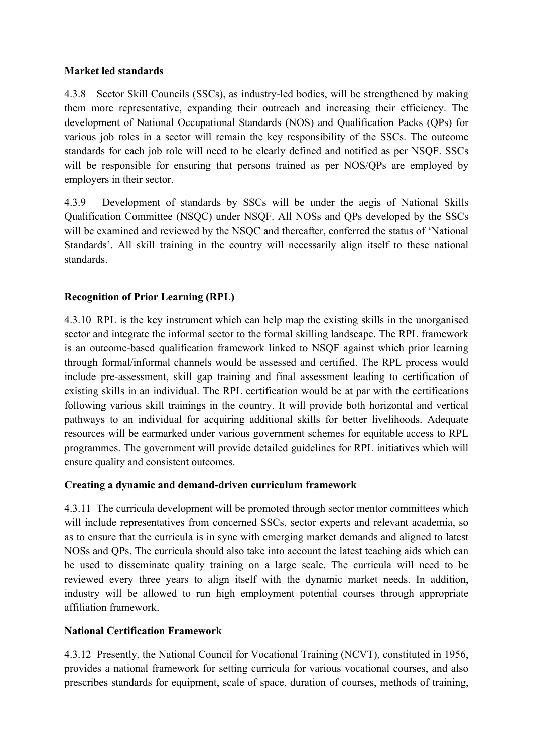#### **Market led standards**

4.3.8 Sector Skill Councils (SSCs), as industry-led bodies, will be strengthened by making them more representative, expanding their outreach and increasing their efficiency. The development of National Occupational Standards (NOS) and Qualification Packs (QPs) for various job roles in a sector will remain the key responsibility of the SSCs. The outcome standards for each job role will need to be clearly defined and notified as per NSQF. SSCs will be responsible for ensuring that persons trained as per NOS/QPs are employed by employers in their sector.

4.3.9 Development of standards by SSCs will be under the aegis of National Skills Qualification Committee (NSQC) under NSQF. All NOSs and QPs developed by the SSCs will be examined and reviewed by the NSQC and thereafter, conferred the status of 'National Standards'. All skill training in the country will necessarily align itself to these national standards.

## **Recognition of Prior Learning (RPL)**

4.3.10 RPL is the key instrument which can help map the existing skills in the unorganised sector and integrate the informal sector to the formal skilling landscape. The RPL framework is an outcome-based qualification framework linked to NSQF against which prior learning through formal/informal channels would be assessed and certified. The RPL process would include pre-assessment, skill gap training and final assessment leading to certification of existing skills in an individual. The RPL certification would be at par with the certifications following various skill trainings in the country. It will provide both horizontal and vertical pathways to an individual for acquiring additional skills for better livelihoods. Adequate resources will be earmarked under various government schemes for equitable access to RPL programmes. The government will provide detailed guidelines for RPL initiatives which will ensure quality and consistent outcomes.

## Creating a dynamic and demand-driven curriculum framework

4.3.11 The curricula development will be promoted through sector mentor committees which will include representatives from concerned SSCs, sector experts and relevant academia, so as to ensure that the curricula is in sync with emerging market demands and aligned to latest NOSs and QPs. The curricula should also take into account the latest teaching aids which can be used to disseminate quality training on a large scale. The curricula will need to be reviewed every three years to align itself with the dynamic market needs. In addition, industry will be allowed to run high employment potential courses through appropriate affiliation framework.

## **National Certification Framework**

4.3.12 Presently, the National Council for Vocational Training (NCVT), constituted in 1956, provides a national framework for setting curricula for various vocational courses, and also prescribes standards for equipment, scale of space, duration of courses, methods of training,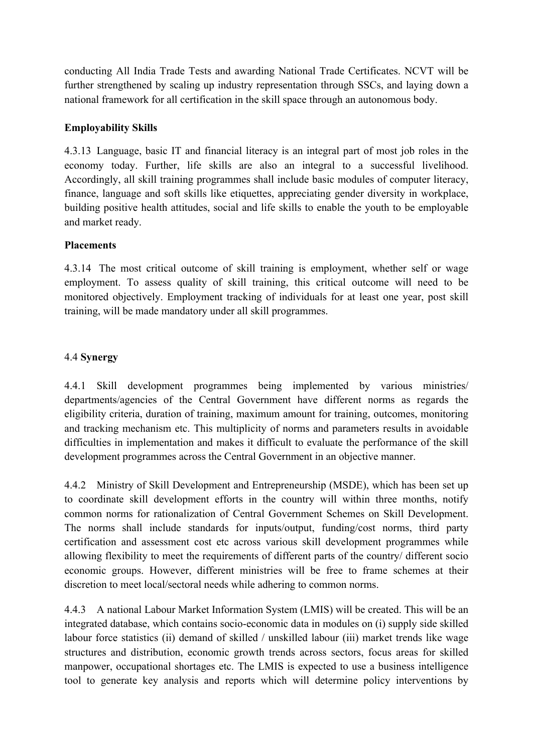conducting All India Trade Tests and awarding National Trade Certificates. NCVT will be further strengthened by scaling up industry representation through SSCs, and laying down a national framework for all certification in the skill space through an autonomous body.

#### **Employability Skills**

4.3.13 Language, basic IT and financial literacy is an integral part of most job roles in the economy today. Further, life skills are also an integral to a successful livelihood. Accordingly, all skill training programmes shall include basic modules of computer literacy, finance, language and soft skills like etiquettes, appreciating gender diversity in workplace, building positive health attitudes, social and life skills to enable the youth to be employable and market ready.

#### **Placements**

4.3.14 The most critical outcome of skill training is employment, whether self or wage employment. To assess quality of skill training, this critical outcome will need to be monitored objectively. Employment tracking of individuals for at least one year, post skill training, will be made mandatory under all skill programmes.

#### 4.4 **Synergy**

4.4.1 Skill development programmes being implemented by various ministries/ departments/agencies of the Central Government have different norms as regards the eligibility criteria, duration of training, maximum amount for training, outcomes, monitoring and tracking mechanism etc. This multiplicity of norms and parameters results in avoidable difficulties in implementation and makes it difficult to evaluate the performance of the skill development programmes across the Central Government in an objective manner.

4.4.2 Ministry of Skill Development and Entrepreneurship (MSDE), which has been set up to coordinate skill development efforts in the country will within three months, notify common norms for rationalization of Central Government Schemes on Skill Development. The norms shall include standards for inputs/output, funding/cost norms, third party certification and assessment cost etc across various skill development programmes while allowing flexibility to meet the requirements of different parts of the country/ different socio economic groups. However, different ministries will be free to frame schemes at their discretion to meet local/sectoral needs while adhering to common norms.

4.4.3 A national Labour Market Information System (LMIS) will be created. This will be an integrated database, which contains socio-economic data in modules on (i) supply side skilled labour force statistics (ii) demand of skilled / unskilled labour (iii) market trends like wage structures and distribution, economic growth trends across sectors, focus areas for skilled manpower, occupational shortages etc. The LMIS is expected to use a business intelligence tool to generate key analysis and reports which will determine policy interventions by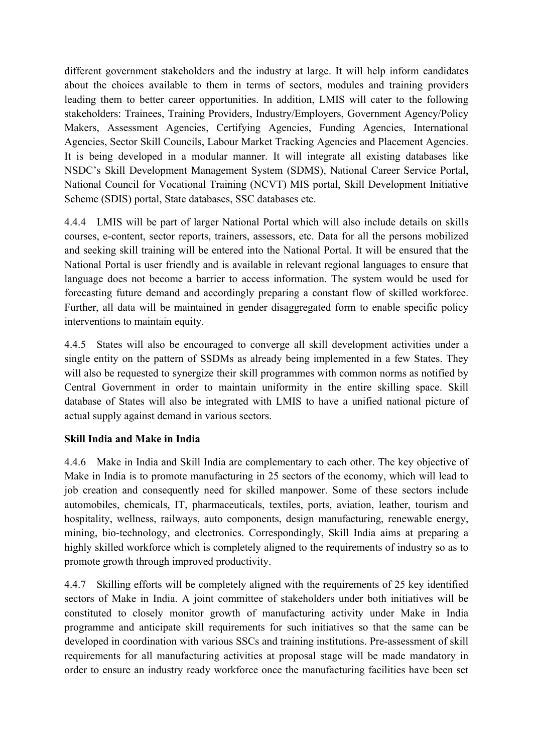different government stakeholders and the industry at large. It will help inform candidates about the choices available to them in terms of sectors, modules and training providers leading them to better career opportunities. In addition, LMIS will cater to the following stakeholders: Trainees, Training Providers, Industry/Employers, Government Agency/Policy Makers, Assessment Agencies, Certifying Agencies, Funding Agencies, International Agencies, Sector Skill Councils, Labour Market Tracking Agencies and Placement Agencies. It is being developed in a modular manner. It will integrate all existing databases like NSDC's Skill Development Management System (SDMS), National Career Service Portal, National Council for Vocational Training (NCVT) MIS portal, Skill Development Initiative Scheme (SDIS) portal, State databases, SSC databases etc.

4.4.4 LMIS will be part of larger National Portal which will also include details on skills courses, econtent, sector reports, trainers, assessors, etc. Data for all the persons mobilized and seeking skill training will be entered into the National Portal. It will be ensured that the National Portal is user friendly and is available in relevant regional languages to ensure that language does not become a barrier to access information. The system would be used for forecasting future demand and accordingly preparing a constant flow of skilled workforce. Further, all data will be maintained in gender disaggregated form to enable specific policy interventions to maintain equity.

4.4.5 States will also be encouraged to converge all skill development activities under a single entity on the pattern of SSDMs as already being implemented in a few States. They will also be requested to synergize their skill programmes with common norms as notified by Central Government in order to maintain uniformity in the entire skilling space. Skill database of States will also be integrated with LMIS to have a unified national picture of actual supply against demand in various sectors.

## **Skill India and Make in India**

4.4.6 Make in India and Skill India are complementary to each other. The key objective of Make in India is to promote manufacturing in 25 sectors of the economy, which will lead to job creation and consequently need for skilled manpower. Some of these sectors include automobiles, chemicals, IT, pharmaceuticals, textiles, ports, aviation, leather, tourism and hospitality, wellness, railways, auto components, design manufacturing, renewable energy, mining, bio-technology, and electronics. Correspondingly, Skill India aims at preparing a highly skilled workforce which is completely aligned to the requirements of industry so as to promote growth through improved productivity.

4.4.7 Skilling efforts will be completely aligned with the requirements of 25 key identified sectors of Make in India. A joint committee of stakeholders under both initiatives will be constituted to closely monitor growth of manufacturing activity under Make in India programme and anticipate skill requirements for such initiatives so that the same can be developed in coordination with various SSCs and training institutions. Pre-assessment of skill requirements for all manufacturing activities at proposal stage will be made mandatory in order to ensure an industry ready workforce once the manufacturing facilities have been set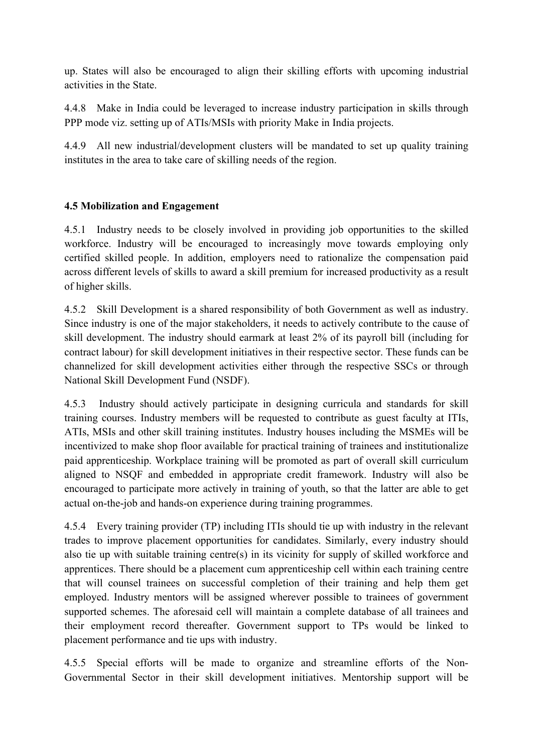up. States will also be encouraged to align their skilling efforts with upcoming industrial activities in the State.

4.4.8 Make in India could be leveraged to increase industry participation in skills through PPP mode viz. setting up of ATIs/MSIs with priority Make in India projects.

4.4.9 All new industrial/development clusters will be mandated to set up quality training institutes in the area to take care of skilling needs of the region.

## **4.5 Mobilization and Engagement**

4.5.1 Industry needs to be closely involved in providing job opportunities to the skilled workforce. Industry will be encouraged to increasingly move towards employing only certified skilled people. In addition, employers need to rationalize the compensation paid across different levels of skills to award a skill premium for increased productivity as a result of higher skills.

4.5.2 Skill Development is a shared responsibility of both Government as well as industry. Since industry is one of the major stakeholders, it needs to actively contribute to the cause of skill development. The industry should earmark at least 2% of its payroll bill (including for contract labour) for skill development initiatives in their respective sector. These funds can be channelized for skill development activities either through the respective SSCs or through National Skill Development Fund (NSDF).

4.5.3 Industry should actively participate in designing curricula and standards for skill training courses. Industry members will be requested to contribute as guest faculty at ITIs, ATIs, MSIs and other skill training institutes. Industry houses including the MSMEs will be incentivized to make shop floor available for practical training of trainees and institutionalize paid apprenticeship. Workplace training will be promoted as part of overall skill curriculum aligned to NSQF and embedded in appropriate credit framework. Industry will also be encouraged to participate more actively in training of youth, so that the latter are able to get actual on-the-job and hands-on experience during training programmes.

4.5.4 Every training provider (TP) including ITIs should tie up with industry in the relevant trades to improve placement opportunities for candidates. Similarly, every industry should also tie up with suitable training centre(s) in its vicinity for supply of skilled workforce and apprentices. There should be a placement cum apprenticeship cell within each training centre that will counsel trainees on successful completion of their training and help them get employed. Industry mentors will be assigned wherever possible to trainees of government supported schemes. The aforesaid cell will maintain a complete database of all trainees and their employment record thereafter. Government support to TPs would be linked to placement performance and tie ups with industry.

4.5.5 Special efforts will be made to organize and streamline efforts of the Non-Governmental Sector in their skill development initiatives. Mentorship support will be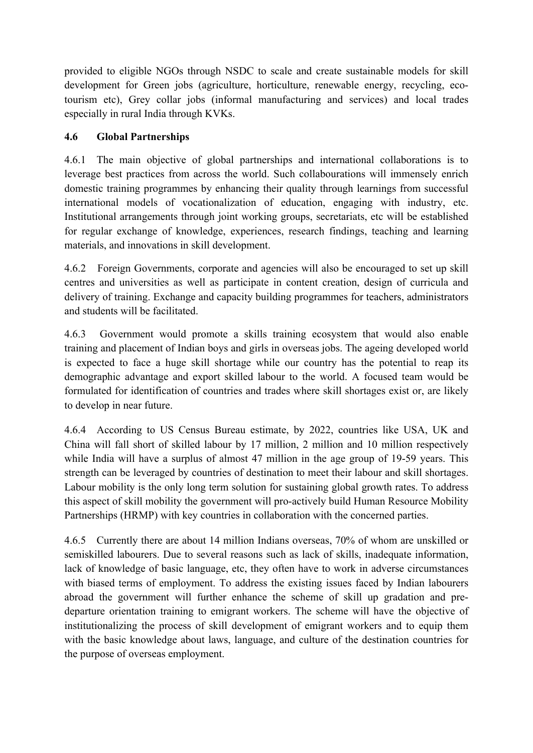provided to eligible NGOs through NSDC to scale and create sustainable models for skill development for Green jobs (agriculture, horticulture, renewable energy, recycling, ecotourism etc), Grey collar jobs (informal manufacturing and services) and local trades especially in rural India through KVKs.

## **4.6 Global Partnerships**

4.6.1 The main objective of global partnerships and international collaborations is to leverage best practices from across the world. Such collabourations will immensely enrich domestic training programmes by enhancing their quality through learnings from successful international models of vocationalization of education, engaging with industry, etc. Institutional arrangements through joint working groups, secretariats, etc will be established for regular exchange of knowledge, experiences, research findings, teaching and learning materials, and innovations in skill development.

4.6.2 Foreign Governments, corporate and agencies will also be encouraged to set up skill centres and universities as well as participate in content creation, design of curricula and delivery of training. Exchange and capacity building programmes for teachers, administrators and students will be facilitated.

4.6.3 Government would promote a skills training ecosystem that would also enable training and placement of Indian boys and girls in overseas jobs. The ageing developed world is expected to face a huge skill shortage while our country has the potential to reap its demographic advantage and export skilled labour to the world. A focused team would be formulated for identification of countries and trades where skill shortages exist or, are likely to develop in near future.

4.6.4 According to US Census Bureau estimate, by 2022, countries like USA, UK and China will fall short of skilled labour by 17 million, 2 million and 10 million respectively while India will have a surplus of almost 47 million in the age group of 19-59 years. This strength can be leveraged by countries of destination to meet their labour and skill shortages. Labour mobility is the only long term solution for sustaining global growth rates. To address this aspect of skill mobility the government will pro-actively build Human Resource Mobility Partnerships (HRMP) with key countries in collaboration with the concerned parties.

4.6.5 Currently there are about 14 million Indians overseas, 70% of whom are unskilled or semiskilled labourers. Due to several reasons such as lack of skills, inadequate information, lack of knowledge of basic language, etc, they often have to work in adverse circumstances with biased terms of employment. To address the existing issues faced by Indian labourers abroad the government will further enhance the scheme of skill up gradation and predeparture orientation training to emigrant workers. The scheme will have the objective of institutionalizing the process of skill development of emigrant workers and to equip them with the basic knowledge about laws, language, and culture of the destination countries for the purpose of overseas employment.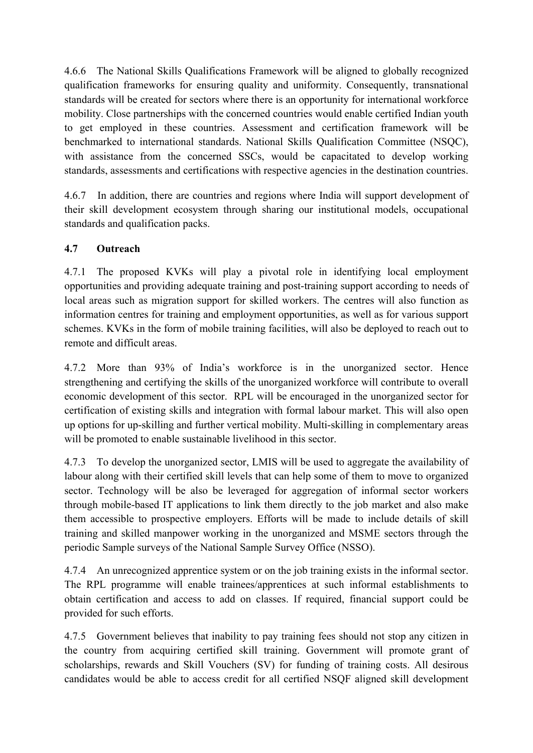4.6.6 The National Skills Qualifications Framework will be aligned to globally recognized qualification frameworks for ensuring quality and uniformity. Consequently, transnational standards will be created for sectors where there is an opportunity for international workforce mobility. Close partnerships with the concerned countries would enable certified Indian youth to get employed in these countries. Assessment and certification framework will be benchmarked to international standards. National Skills Qualification Committee (NSOC), with assistance from the concerned SSCs, would be capacitated to develop working standards, assessments and certifications with respective agencies in the destination countries.

4.6.7 In addition, there are countries and regions where India will support development of their skill development ecosystem through sharing our institutional models, occupational standards and qualification packs.

## **4.7 Outreach**

4.7.1 The proposed KVKs will play a pivotal role in identifying local employment opportunities and providing adequate training and post-training support according to needs of local areas such as migration support for skilled workers. The centres will also function as information centres for training and employment opportunities, as well as for various support schemes. KVKs in the form of mobile training facilities, will also be deployed to reach out to remote and difficult areas.

4.7.2 More than 93% of India's workforce is in the unorganized sector. Hence strengthening and certifying the skills of the unorganized workforce will contribute to overall economic development of this sector. RPL will be encouraged in the unorganized sector for certification of existing skills and integration with formal labour market. This will also open up options for up-skilling and further vertical mobility. Multi-skilling in complementary areas will be promoted to enable sustainable livelihood in this sector.

4.7.3 To develop the unorganized sector, LMIS will be used to aggregate the availability of labour along with their certified skill levels that can help some of them to move to organized sector. Technology will be also be leveraged for aggregation of informal sector workers through mobile-based IT applications to link them directly to the job market and also make them accessible to prospective employers. Efforts will be made to include details of skill training and skilled manpower working in the unorganized and MSME sectors through the periodic Sample surveys of the National Sample Survey Office (NSSO).

4.7.4 An unrecognized apprentice system or on the job training exists in the informal sector. The RPL programme will enable trainees/apprentices at such informal establishments to obtain certification and access to add on classes. If required, financial support could be provided for such efforts.

4.7.5 Government believes that inability to pay training fees should not stop any citizen in the country from acquiring certified skill training. Government will promote grant of scholarships, rewards and Skill Vouchers (SV) for funding of training costs. All desirous candidates would be able to access credit for all certified NSQF aligned skill development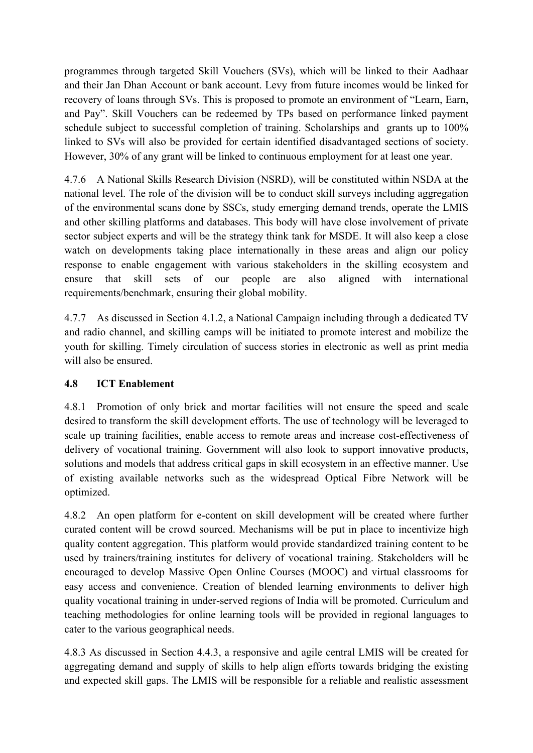programmes through targeted Skill Vouchers (SVs), which will be linked to their Aadhaar and their Jan Dhan Account or bank account. Levy from future incomes would be linked for recovery of loans through SVs. This is proposed to promote an environment of "Learn, Earn, and Pay". Skill Vouchers can be redeemed by TPs based on performance linked payment schedule subject to successful completion of training. Scholarships and grants up to 100% linked to SVs will also be provided for certain identified disadvantaged sections of society. However, 30% of any grant will be linked to continuous employment for at least one year.

4.7.6 A National Skills Research Division (NSRD), will be constituted within NSDA at the national level. The role of the division will be to conduct skill surveys including aggregation of the environmental scans done by SSCs, study emerging demand trends, operate the LMIS and other skilling platforms and databases. This body will have close involvement of private sector subject experts and will be the strategy think tank for MSDE. It will also keep a close watch on developments taking place internationally in these areas and align our policy response to enable engagement with various stakeholders in the skilling ecosystem and ensure that skill sets of our people are also aligned with international requirements/benchmark, ensuring their global mobility.

4.7.7 As discussed in Section 4.1.2, a National Campaign including through a dedicated TV and radio channel, and skilling camps will be initiated to promote interest and mobilize the youth for skilling. Timely circulation of success stories in electronic as well as print media will also be ensured.

## **4.8 ICT Enablement**

4.8.1 Promotion of only brick and mortar facilities will not ensure the speed and scale desired to transform the skill development efforts. The use of technology will be leveraged to scale up training facilities, enable access to remote areas and increase cost-effectiveness of delivery of vocational training. Government will also look to support innovative products, solutions and models that address critical gaps in skill ecosystem in an effective manner. Use of existing available networks such as the widespread Optical Fibre Network will be optimized.

4.8.2 An open platform for econtent on skill development will be created where further curated content will be crowd sourced. Mechanisms will be put in place to incentivize high quality content aggregation. This platform would provide standardized training content to be used by trainers/training institutes for delivery of vocational training. Stakeholders will be encouraged to develop Massive Open Online Courses (MOOC) and virtual classrooms for easy access and convenience. Creation of blended learning environments to deliver high quality vocational training in under-served regions of India will be promoted. Curriculum and teaching methodologies for online learning tools will be provided in regional languages to cater to the various geographical needs.

4.8.3 As discussed in Section 4.4.3, a responsive and agile central LMIS will be created for aggregating demand and supply of skills to help align efforts towards bridging the existing and expected skill gaps. The LMIS will be responsible for a reliable and realistic assessment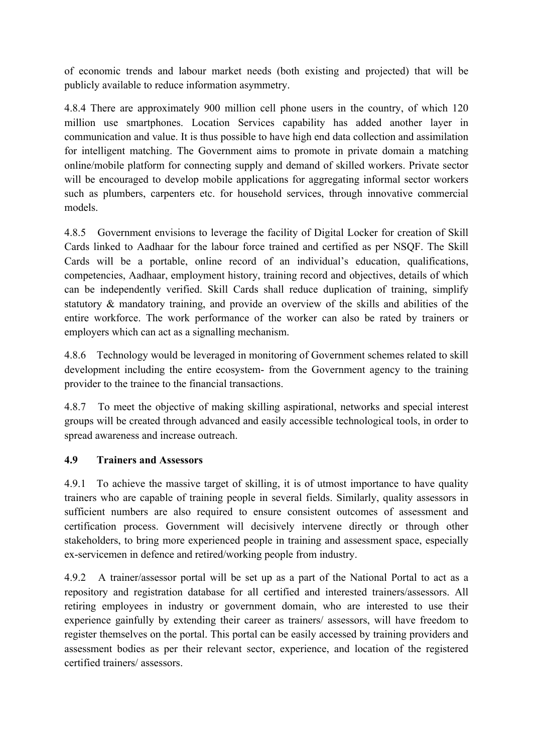of economic trends and labour market needs (both existing and projected) that will be publicly available to reduce information asymmetry.

4.8.4 There are approximately 900 million cell phone users in the country, of which 120 million use smartphones. Location Services capability has added another layer in communication and value. It is thus possible to have high end data collection and assimilation for intelligent matching. The Government aims to promote in private domain a matching online/mobile platform for connecting supply and demand of skilled workers. Private sector will be encouraged to develop mobile applications for aggregating informal sector workers such as plumbers, carpenters etc. for household services, through innovative commercial models.

4.8.5 Government envisions to leverage the facility of Digital Locker for creation of Skill Cards linked to Aadhaar for the labour force trained and certified as per NSQF. The Skill Cards will be a portable, online record of an individual's education, qualifications, competencies, Aadhaar, employment history, training record and objectives, details of which can be independently verified. Skill Cards shall reduce duplication of training, simplify statutory & mandatory training, and provide an overview of the skills and abilities of the entire workforce. The work performance of the worker can also be rated by trainers or employers which can act as a signalling mechanism.

4.8.6 Technology would be leveraged in monitoring of Government schemes related to skill development including the entire ecosystem- from the Government agency to the training provider to the trainee to the financial transactions.

4.8.7 To meet the objective of making skilling aspirational, networks and special interest groups will be created through advanced and easily accessible technological tools, in order to spread awareness and increase outreach.

## **4.9 Trainers and Assessors**

4.9.1 To achieve the massive target of skilling, it is of utmost importance to have quality trainers who are capable of training people in several fields. Similarly, quality assessors in sufficient numbers are also required to ensure consistent outcomes of assessment and certification process. Government will decisively intervene directly or through other stakeholders, to bring more experienced people in training and assessment space, especially ex-servicemen in defence and retired/working people from industry.

4.9.2 A trainer/assessor portal will be set up as a part of the National Portal to act as a repository and registration database for all certified and interested trainers/assessors. All retiring employees in industry or government domain, who are interested to use their experience gainfully by extending their career as trainers/ assessors, will have freedom to register themselves on the portal. This portal can be easily accessed by training providers and assessment bodies as per their relevant sector, experience, and location of the registered certified trainers/ assessors.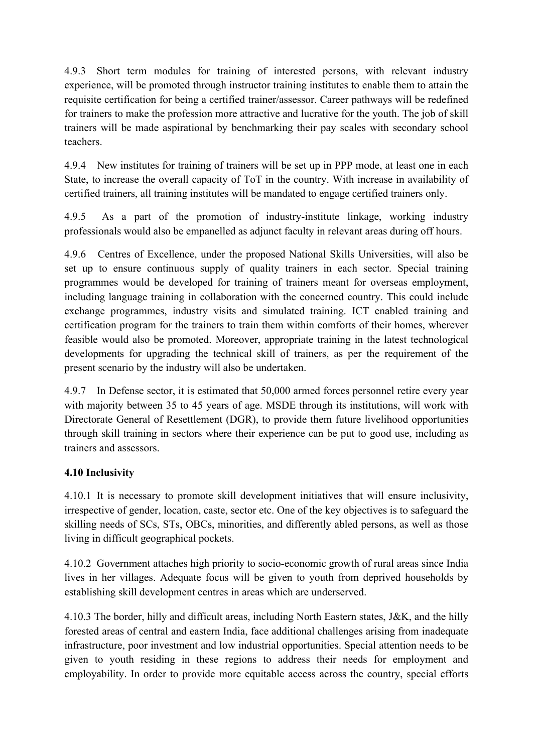4.9.3 Short term modules for training of interested persons, with relevant industry experience, will be promoted through instructor training institutes to enable them to attain the requisite certification for being a certified trainer/assessor. Career pathways will be redefined for trainers to make the profession more attractive and lucrative for the youth. The job of skill trainers will be made aspirational by benchmarking their pay scales with secondary school teachers.

4.9.4 New institutes for training of trainers will be set up in PPP mode, at least one in each State, to increase the overall capacity of ToT in the country. With increase in availability of certified trainers, all training institutes will be mandated to engage certified trainers only.

4.9.5 As a part of the promotion of industry-institute linkage, working industry professionals would also be empanelled as adjunct faculty in relevant areas during off hours.

4.9.6 Centres of Excellence, under the proposed National Skills Universities, will also be set up to ensure continuous supply of quality trainers in each sector. Special training programmes would be developed for training of trainers meant for overseas employment, including language training in collaboration with the concerned country. This could include exchange programmes, industry visits and simulated training. ICT enabled training and certification program for the trainers to train them within comforts of their homes, wherever feasible would also be promoted. Moreover, appropriate training in the latest technological developments for upgrading the technical skill of trainers, as per the requirement of the present scenario by the industry will also be undertaken.

4.9.7 In Defense sector, it is estimated that 50,000 armed forces personnel retire every year with majority between 35 to 45 years of age. MSDE through its institutions, will work with Directorate General of Resettlement (DGR), to provide them future livelihood opportunities through skill training in sectors where their experience can be put to good use, including as trainers and assessors.

## **4.10 Inclusivity**

4.10.1 It is necessary to promote skill development initiatives that will ensure inclusivity, irrespective of gender, location, caste, sector etc. One of the key objectives is to safeguard the skilling needs of SCs, STs, OBCs, minorities, and differently abled persons, as well as those living in difficult geographical pockets.

4.10.2 Government attaches high priority to socio-economic growth of rural areas since India lives in her villages. Adequate focus will be given to youth from deprived households by establishing skill development centres in areas which are underserved.

4.10.3 The border, hilly and difficult areas, including North Eastern states, J&K, and the hilly forested areas of central and eastern India, face additional challenges arising from inadequate infrastructure, poor investment and low industrial opportunities. Special attention needs to be given to youth residing in these regions to address their needs for employment and employability. In order to provide more equitable access across the country, special efforts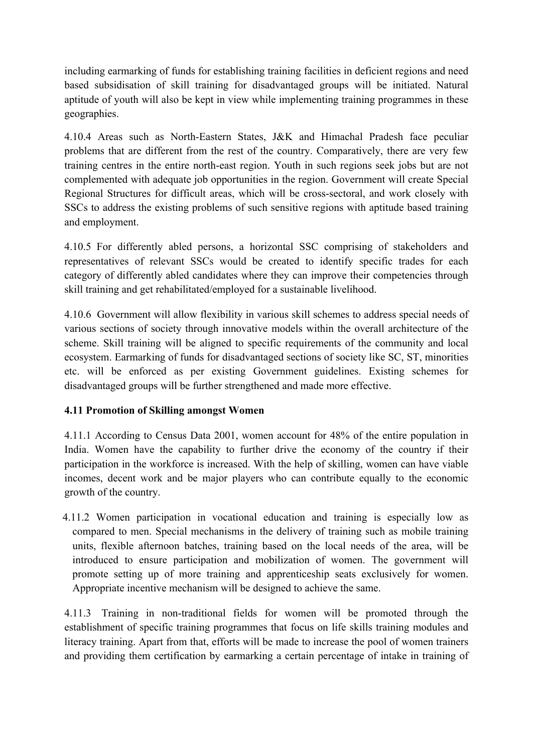including earmarking of funds for establishing training facilities in deficient regions and need based subsidisation of skill training for disadvantaged groups will be initiated. Natural aptitude of youth will also be kept in view while implementing training programmes in these geographies.

4.10.4 Areas such as North-Eastern States, J&K and Himachal Pradesh face peculiar problems that are different from the rest of the country. Comparatively, there are very few training centres in the entire northeast region. Youth in such regions seek jobs but are not complemented with adequate job opportunities in the region. Government will create Special Regional Structures for difficult areas, which will be cross-sectoral, and work closely with SSCs to address the existing problems of such sensitive regions with aptitude based training and employment.

4.10.5 For differently abled persons, a horizontal SSC comprising of stakeholders and representatives of relevant SSCs would be created to identify specific trades for each category of differently abled candidates where they can improve their competencies through skill training and get rehabilitated/employed for a sustainable livelihood.

4.10.6 Government will allow flexibility in various skill schemes to address special needs of various sections of society through innovative models within the overall architecture of the scheme. Skill training will be aligned to specific requirements of the community and local ecosystem. Earmarking of funds for disadvantaged sections of society like SC, ST, minorities etc. will be enforced as per existing Government guidelines. Existing schemes for disadvantaged groups will be further strengthened and made more effective.

## **4.11 Promotion of Skilling amongst Women**

4.11.1 According to Census Data 2001, women account for 48% of the entire population in India. Women have the capability to further drive the economy of the country if their participation in the workforce is increased. With the help of skilling, women can have viable incomes, decent work and be major players who can contribute equally to the economic growth of the country.

4.11.2 Women participation in vocational education and training is especially low as compared to men. Special mechanisms in the delivery of training such as mobile training units, flexible afternoon batches, training based on the local needs of the area, will be introduced to ensure participation and mobilization of women. The government will promote setting up of more training and apprenticeship seats exclusively for women. Appropriate incentive mechanism will be designed to achieve the same.

4.11.3 Training in non-traditional fields for women will be promoted through the establishment of specific training programmes that focus on life skills training modules and literacy training. Apart from that, efforts will be made to increase the pool of women trainers and providing them certification by earmarking a certain percentage of intake in training of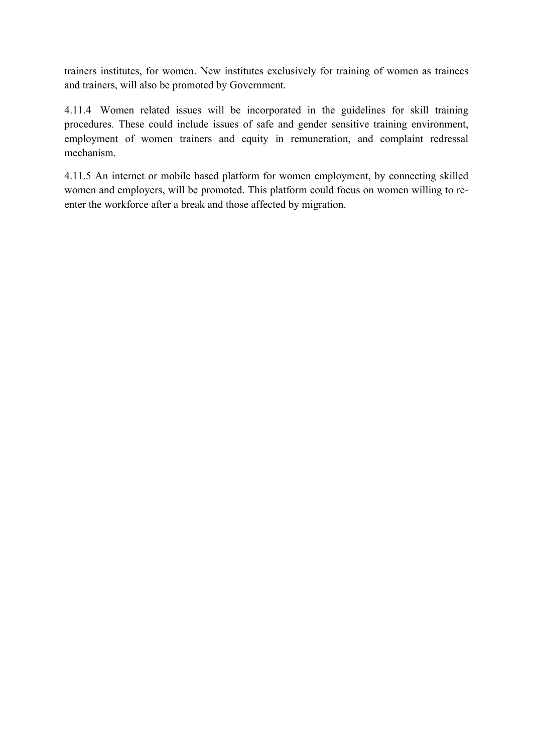trainers institutes, for women. New institutes exclusively for training of women as trainees and trainers, will also be promoted by Government.

4.11.4 Women related issues will be incorporated in the guidelines for skill training procedures. These could include issues of safe and gender sensitive training environment, employment of women trainers and equity in remuneration, and complaint redressal mechanism.

4.11.5 An internet or mobile based platform for women employment, by connecting skilled women and employers, will be promoted. This platform could focus on women willing to reenter the workforce after a break and those affected by migration.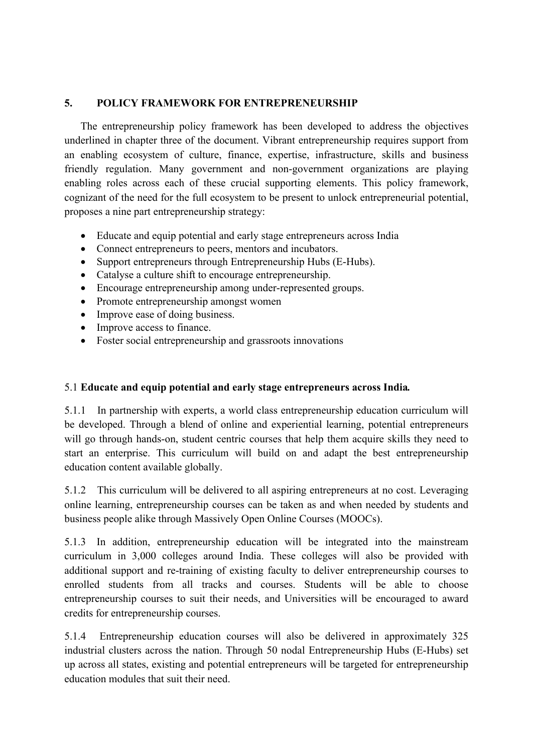#### **5. POLICY FRAMEWORK FOR ENTREPRENEURSHIP**

The entrepreneurship policy framework has been developed to address the objectives underlined in chapter three of the document. Vibrant entrepreneurship requires support from an enabling ecosystem of culture, finance, expertise, infrastructure, skills and business friendly regulation. Many government and non-government organizations are playing enabling roles across each of these crucial supporting elements. This policy framework, cognizant of the need for the full ecosystem to be present to unlock entrepreneurial potential, proposes a nine part entrepreneurship strategy:

- Educate and equip potential and early stage entrepreneurs across India
- Connect entrepreneurs to peers, mentors and incubators.
- Support entrepreneurs through Entrepreneurship Hubs (E-Hubs).
- Catalyse a culture shift to encourage entrepreneurship.
- Encourage entrepreneurship among under-represented groups.
- Promote entrepreneurship amongst women
- Improve ease of doing business.
- Improve access to finance.
- Foster social entrepreneurship and grassroots innovations

#### 5.1 **Educate and equip potential and early stage entrepreneurs across India***.*

5.1.1 In partnership with experts, a world class entrepreneurship education curriculum will be developed. Through a blend of online and experiential learning, potential entrepreneurs will go through hands-on, student centric courses that help them acquire skills they need to start an enterprise. This curriculum will build on and adapt the best entrepreneurship education content available globally.

5.1.2 This curriculum will be delivered to all aspiring entrepreneurs at no cost. Leveraging online learning, entrepreneurship courses can be taken as and when needed by students and business people alike through Massively Open Online Courses (MOOCs).

5.1.3 In addition, entrepreneurship education will be integrated into the mainstream curriculum in 3,000 colleges around India. These colleges will also be provided with additional support and re-training of existing faculty to deliver entrepreneurship courses to enrolled students from all tracks and courses. Students will be able to choose entrepreneurship courses to suit their needs, and Universities will be encouraged to award credits for entrepreneurship courses.

5.1.4 Entrepreneurship education courses will also be delivered in approximately 325 industrial clusters across the nation. Through 50 nodal Entrepreneurship Hubs (E-Hubs) set up across all states, existing and potential entrepreneurs will be targeted for entrepreneurship education modules that suit their need.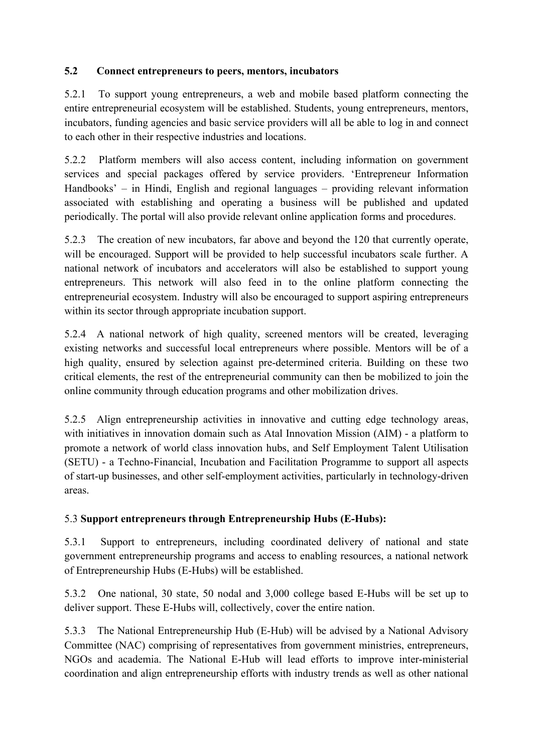## **5.2 Connect entrepreneurs to peers, mentors, incubators**

5.2.1 To support young entrepreneurs, a web and mobile based platform connecting the entire entrepreneurial ecosystem will be established. Students, young entrepreneurs, mentors, incubators, funding agencies and basic service providers will all be able to log in and connect to each other in their respective industries and locations.

5.2.2 Platform members will also access content, including information on government services and special packages offered by service providers. 'Entrepreneur Information Handbooks' – in Hindi, English and regional languages – providing relevant information associated with establishing and operating a business will be published and updated periodically. The portal will also provide relevant online application forms and procedures.

5.2.3 The creation of new incubators, far above and beyond the 120 that currently operate, will be encouraged. Support will be provided to help successful incubators scale further. A national network of incubators and accelerators will also be established to support young entrepreneurs. This network will also feed in to the online platform connecting the entrepreneurial ecosystem. Industry will also be encouraged to support aspiring entrepreneurs within its sector through appropriate incubation support.

5.2.4 A national network of high quality, screened mentors will be created, leveraging existing networks and successful local entrepreneurs where possible. Mentors will be of a high quality, ensured by selection against pre-determined criteria. Building on these two critical elements, the rest of the entrepreneurial community can then be mobilized to join the online community through education programs and other mobilization drives.

5.2.5 Align entrepreneurship activities in innovative and cutting edge technology areas, with initiatives in innovation domain such as Atal Innovation Mission (AIM) - a platform to promote a network of world class innovation hubs, and Self Employment Talent Utilisation (SETU) - a Techno-Financial, Incubation and Facilitation Programme to support all aspects of start-up businesses, and other self-employment activities, particularly in technology-driven areas.

## 5.3 Support entrepreneurs through Entrepreneurship Hubs (E-Hubs):

5.3.1 Support to entrepreneurs, including coordinated delivery of national and state government entrepreneurship programs and access to enabling resources, a national network of Entrepreneurship Hubs (E-Hubs) will be established.

5.3.2 One national, 30 state, 50 nodal and 3,000 college based E-Hubs will be set up to deliver support. These E-Hubs will, collectively, cover the entire nation.

5.3.3 The National Entrepreneurship Hub (E-Hub) will be advised by a National Advisory Committee (NAC) comprising of representatives from government ministries, entrepreneurs, NGOs and academia. The National E-Hub will lead efforts to improve inter-ministerial coordination and align entrepreneurship efforts with industry trends as well as other national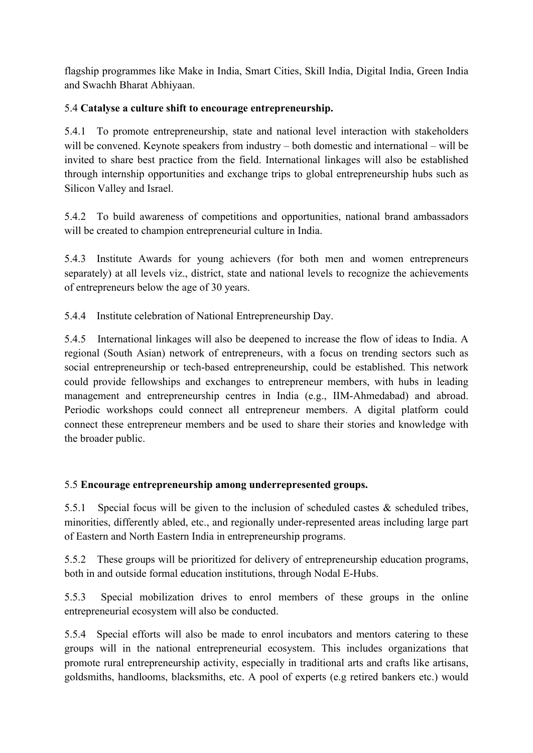flagship programmes like Make in India, Smart Cities, Skill India, Digital India, Green India and Swachh Bharat Abhiyaan.

## 5.4 **Catalyse a culture shift to encourage entrepreneurship.**

5.4.1 To promote entrepreneurship, state and national level interaction with stakeholders will be convened. Keynote speakers from industry – both domestic and international – will be invited to share best practice from the field. International linkages will also be established through internship opportunities and exchange trips to global entrepreneurship hubs such as Silicon Valley and Israel.

5.4.2 To build awareness of competitions and opportunities, national brand ambassadors will be created to champion entrepreneurial culture in India.

5.4.3 Institute Awards for young achievers (for both men and women entrepreneurs separately) at all levels viz., district, state and national levels to recognize the achievements of entrepreneurs below the age of 30 years.

5.4.4 Institute celebration of National Entrepreneurship Day.

5.4.5 International linkages will also be deepened to increase the flow of ideas to India. A regional (South Asian) network of entrepreneurs, with a focus on trending sectors such as social entrepreneurship or tech-based entrepreneurship, could be established. This network could provide fellowships and exchanges to entrepreneur members, with hubs in leading management and entrepreneurship centres in India (e.g., IIM-Ahmedabad) and abroad. Periodic workshops could connect all entrepreneur members. A digital platform could connect these entrepreneur members and be used to share their stories and knowledge with the broader public.

## 5.5 **Encourage entrepreneurship among underrepresented groups.**

5.5.1 Special focus will be given to the inclusion of scheduled castes  $\&$  scheduled tribes, minorities, differently abled, etc., and regionally under-represented areas including large part of Eastern and North Eastern India in entrepreneurship programs.

5.5.2 These groups will be prioritized for delivery of entrepreneurship education programs, both in and outside formal education institutions, through Nodal E-Hubs.

5.5.3 Special mobilization drives to enrol members of these groups in the online entrepreneurial ecosystem will also be conducted.

5.5.4 Special efforts will also be made to enrol incubators and mentors catering to these groups will in the national entrepreneurial ecosystem. This includes organizations that promote rural entrepreneurship activity, especially in traditional arts and crafts like artisans, goldsmiths, handlooms, blacksmiths, etc. A pool of experts (e.g retired bankers etc.) would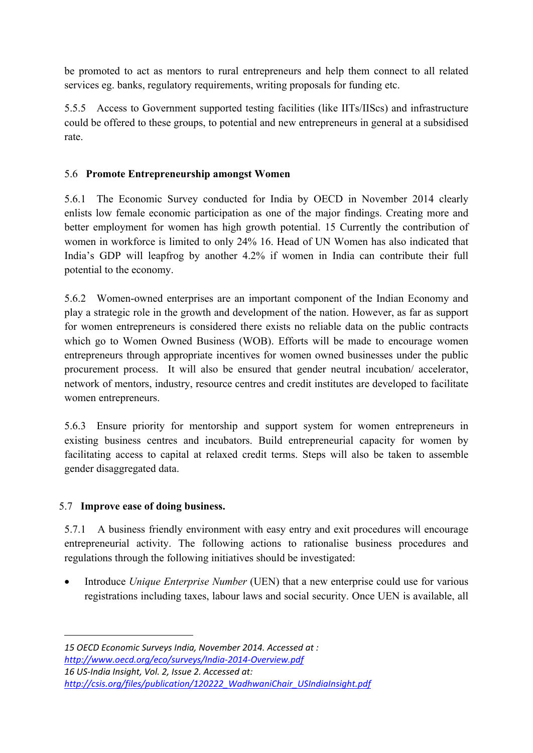be promoted to act as mentors to rural entrepreneurs and help them connect to all related services eg. banks, regulatory requirements, writing proposals for funding etc.

5.5.5 Access to Government supported testing facilities (like IITs/IIScs) and infrastructure could be offered to these groups, to potential and new entrepreneurs in general at a subsidised rate.

## 5.6 **Promote Entrepreneurship amongst Women**

5.6.1 The Economic Survey conducted for India by OECD in November 2014 clearly enlists low female economic participation as one of the major findings. Creating more and better employment for women has high growth potential. 15 Currently the contribution of women in workforce is limited to only 24% 16. Head of UN Women has also indicated that India's GDP will leapfrog by another 4.2% if women in India can contribute their full potential to the economy.

5.6.2 Women-owned enterprises are an important component of the Indian Economy and play a strategic role in the growth and development of the nation. However, as far as support for women entrepreneurs is considered there exists no reliable data on the public contracts which go to Women Owned Business (WOB). Efforts will be made to encourage women entrepreneurs through appropriate incentives for women owned businesses under the public procurement process. It will also be ensured that gender neutral incubation/ accelerator, network of mentors, industry, resource centres and credit institutes are developed to facilitate women entrepreneurs.

5.6.3 Ensure priority for mentorship and support system for women entrepreneurs in existing business centres and incubators. Build entrepreneurial capacity for women by facilitating access to capital at relaxed credit terms. Steps will also be taken to assemble gender disaggregated data.

## 5.7 **Improve ease of doing business.**

5.7.1 A business friendly environment with easy entry and exit procedures will encourage entrepreneurial activity. The following actions to rationalise business procedures and regulations through the following initiatives should be investigated:

x Introduce *Unique Enterprise Number* (UEN) that a new enterprise could use for various registrations including taxes, labour laws and social security. Once UEN is available, all

*15 OECD Economic Surveys India, November 2014. Accessed at : http://www.oecd.org/eco/surveys/India‐2014‐Overview.pdf 16 US‐India Insight, Vol. 2, Issue 2. Accessed at: http://csis.org/files/publication/120222\_WadhwaniChair\_USIndiaInsight.pdf*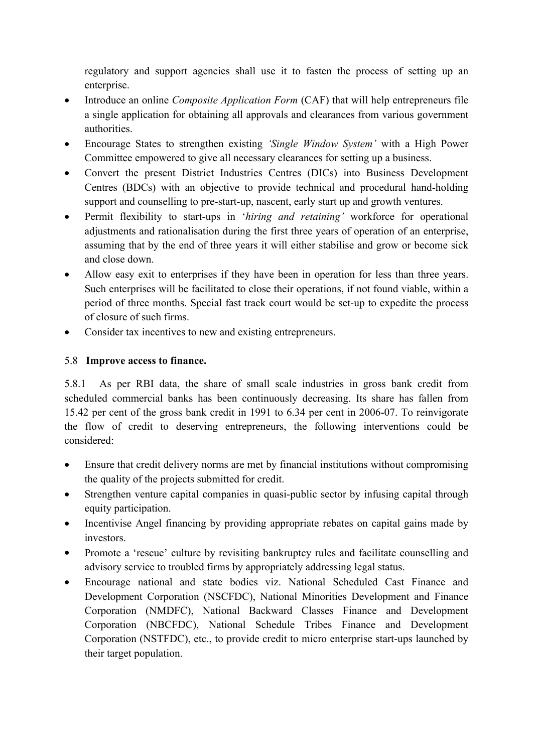regulatory and support agencies shall use it to fasten the process of setting up an enterprise.

- Introduce an online *Composite Application Form* (CAF) that will help entrepreneurs file a single application for obtaining all approvals and clearances from various government authorities.
- x Encourage States to strengthen existing *'Single Window System'* with a High Power Committee empowered to give all necessary clearances for setting up a business.
- Convert the present District Industries Centres (DICs) into Business Development Centres (BDCs) with an objective to provide technical and procedural hand-holding support and counselling to pre-start-up, nascent, early start up and growth ventures.
- Permit flexibility to start-ups in '*hiring and retaining'* workforce for operational adjustments and rationalisation during the first three years of operation of an enterprise, assuming that by the end of three years it will either stabilise and grow or become sick and close down.
- Allow easy exit to enterprises if they have been in operation for less than three years. Such enterprises will be facilitated to close their operations, if not found viable, within a period of three months. Special fast track court would be set-up to expedite the process of closure of such firms.
- Consider tax incentives to new and existing entrepreneurs.

## 5.8 **Improve access to finance.**

5.8.1 As per RBI data, the share of small scale industries in gross bank credit from scheduled commercial banks has been continuously decreasing. Its share has fallen from 15.42 per cent of the gross bank credit in 1991 to  $6.34$  per cent in 2006-07. To reinvigorate the flow of credit to deserving entrepreneurs, the following interventions could be considered:

- Ensure that credit delivery norms are met by financial institutions without compromising the quality of the projects submitted for credit.
- Strengthen venture capital companies in quasi-public sector by infusing capital through equity participation.
- Incentivise Angel financing by providing appropriate rebates on capital gains made by investors.
- Promote a 'rescue' culture by revisiting bankruptcy rules and facilitate counselling and advisory service to troubled firms by appropriately addressing legal status.
- Encourage national and state bodies viz. National Scheduled Cast Finance and Development Corporation (NSCFDC), National Minorities Development and Finance Corporation (NMDFC), National Backward Classes Finance and Development Corporation (NBCFDC), National Schedule Tribes Finance and Development Corporation (NSTFDC), etc., to provide credit to micro enterprise start-ups launched by their target population.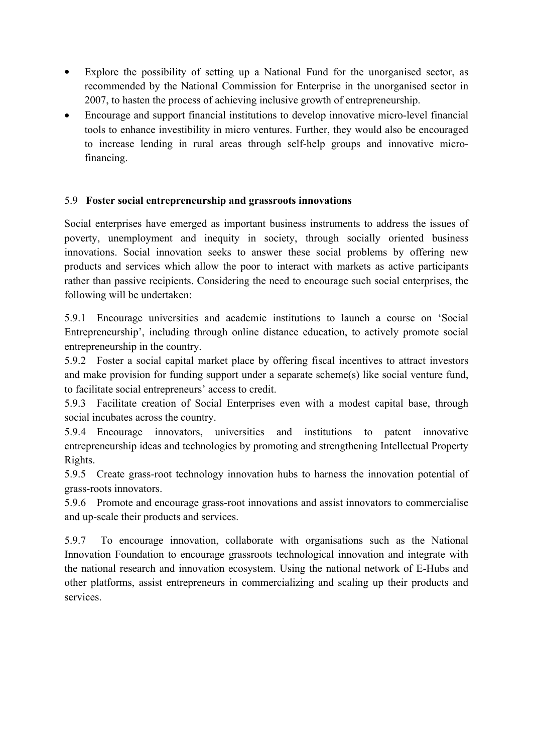- Explore the possibility of setting up a National Fund for the unorganised sector, as recommended by the National Commission for Enterprise in the unorganised sector in 2007, to hasten the process of achieving inclusive growth of entrepreneurship.
- Encourage and support financial institutions to develop innovative micro-level financial tools to enhance investibility in micro ventures. Further, they would also be encouraged to increase lending in rural areas through self-help groups and innovative microfinancing.

#### 5.9 **Foster social entrepreneurship and grassroots innovations**

Social enterprises have emerged as important business instruments to address the issues of poverty, unemployment and inequity in society, through socially oriented business innovations. Social innovation seeks to answer these social problems by offering new products and services which allow the poor to interact with markets as active participants rather than passive recipients. Considering the need to encourage such social enterprises, the following will be undertaken:

5.9.1 Encourage universities and academic institutions to launch a course on 'Social Entrepreneurship', including through online distance education, to actively promote social entrepreneurship in the country.

5.9.2 Foster a social capital market place by offering fiscal incentives to attract investors and make provision for funding support under a separate scheme(s) like social venture fund, to facilitate social entrepreneurs' access to credit.

5.9.3 Facilitate creation of Social Enterprises even with a modest capital base, through social incubates across the country.

5.9.4 Encourage innovators, universities and institutions to patent innovative entrepreneurship ideas and technologies by promoting and strengthening Intellectual Property Rights.

5.9.5 Create grass-root technology innovation hubs to harness the innovation potential of grass-roots innovators.

5.9.6 Promote and encourage grass-root innovations and assist innovators to commercialise and up-scale their products and services.

5.9.7 To encourage innovation, collaborate with organisations such as the National Innovation Foundation to encourage grassroots technological innovation and integrate with the national research and innovation ecosystem. Using the national network of E-Hubs and other platforms, assist entrepreneurs in commercializing and scaling up their products and services.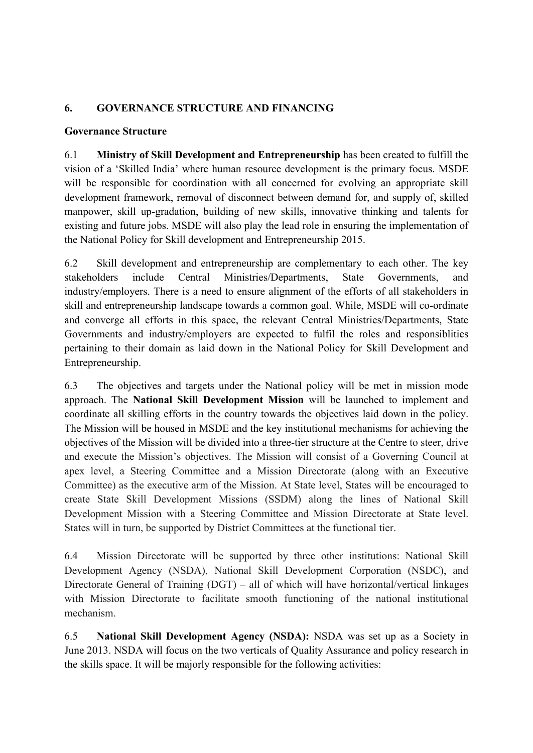#### **6. GOVERNANCE STRUCTURE AND FINANCING**

#### **Governance Structure**

6.1 **Ministry of Skill Development and Entrepreneurship** has been created to fulfill the vision of a 'Skilled India' where human resource development is the primary focus. MSDE will be responsible for coordination with all concerned for evolving an appropriate skill development framework, removal of disconnect between demand for, and supply of, skilled manpower, skill up-gradation, building of new skills, innovative thinking and talents for existing and future jobs. MSDE will also play the lead role in ensuring the implementation of the National Policy for Skill development and Entrepreneurship 2015.

6.2 Skill development and entrepreneurship are complementary to each other. The key stakeholders include Central Ministries/Departments, State Governments, and industry/employers. There is a need to ensure alignment of the efforts of all stakeholders in skill and entrepreneurship landscape towards a common goal. While, MSDE will co-ordinate and converge all efforts in this space, the relevant Central Ministries/Departments, State Governments and industry/employers are expected to fulfil the roles and responsiblities pertaining to their domain as laid down in the National Policy for Skill Development and Entrepreneurship.

6.3 The objectives and targets under the National policy will be met in mission mode approach. The **National Skill Development Mission**  will be launched to implement and coordinate all skilling efforts in the country towards the objectives laid down in the policy. The Mission will be housed in MSDE and the key institutional mechanisms for achieving the objectives of the Mission will be divided into a three-tier structure at the Centre to steer, drive and execute the Mission's objectives. The Mission will consist of a Governing Council at apex level, a Steering Committee and a Mission Directorate (along with an Executive Committee) as the executive arm of the Mission. At State level, States will be encouraged to create State Skill Development Missions (SSDM) along the lines of National Skill Development Mission with a Steering Committee and Mission Directorate at State level. States will in turn, be supported by District Committees at the functional tier.

6.4 Mission Directorate will be supported by three other institutions: National Skill Development Agency (NSDA), National Skill Development Corporation (NSDC), and Directorate General of Training (DGT) – all of which will have horizontal/vertical linkages with Mission Directorate to facilitate smooth functioning of the national institutional mechanism.

6.5 **National Skill Development Agency (NSDA):** NSDA was set up as a Society in June 2013. NSDA will focus on the two verticals of Quality Assurance and policy research in the skills space. It will be majorly responsible for the following activities: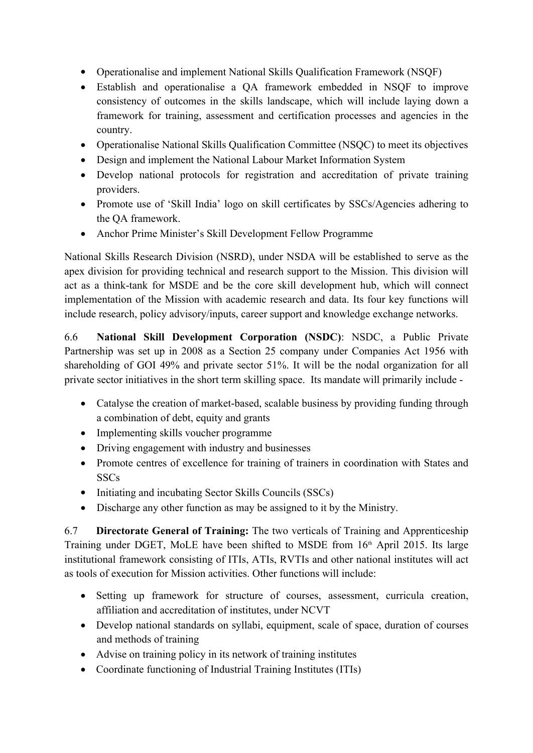- Operationalise and implement National Skills Qualification Framework (NSQF)
- Establish and operationalise a QA framework embedded in NSQF to improve consistency of outcomes in the skills landscape, which will include laying down a framework for training, assessment and certification processes and agencies in the country.
- Operationalise National Skills Qualification Committee (NSQC) to meet its objectives
- Design and implement the National Labour Market Information System
- Develop national protocols for registration and accreditation of private training providers.
- Promote use of 'Skill India' logo on skill certificates by SSCs/Agencies adhering to the QA framework.
- Anchor Prime Minister's Skill Development Fellow Programme

National Skills Research Division (NSRD), under NSDA will be established to serve as the apex division for providing technical and research support to the Mission. This division will act as a think-tank for MSDE and be the core skill development hub, which will connect implementation of the Mission with academic research and data. Its four key functions will include research, policy advisory/inputs, career support and knowledge exchange networks.

6.6 **National Skill Development Corporation (NSDC)**: NSDC, a Public Private Partnership was set up in 2008 as a Section 25 company under Companies Act 1956 with shareholding of GOI 49% and private sector 51%. It will be the nodal organization for all private sector initiatives in the short term skilling space. Its mandate will primarily include

- Catalyse the creation of market-based, scalable business by providing funding through a combination of debt, equity and grants
- Implementing skills voucher programme
- Driving engagement with industry and businesses
- Promote centres of excellence for training of trainers in coordination with States and **SSCs**
- Initiating and incubating Sector Skills Councils (SSCs)
- Discharge any other function as may be assigned to it by the Ministry.

6.7 **Directorate General of Training:** The two verticals of Training and Apprenticeship Training under DGET, MoLE have been shifted to MSDE from 16<sup>th</sup> April 2015. Its large institutional framework consisting of ITIs, ATIs, RVTIs and other national institutes will act as tools of execution for Mission activities. Other functions will include:

- Setting up framework for structure of courses, assessment, curricula creation, affiliation and accreditation of institutes, under NCVT
- Develop national standards on syllabi, equipment, scale of space, duration of courses and methods of training
- Advise on training policy in its network of training institutes
- Coordinate functioning of Industrial Training Institutes (ITIs)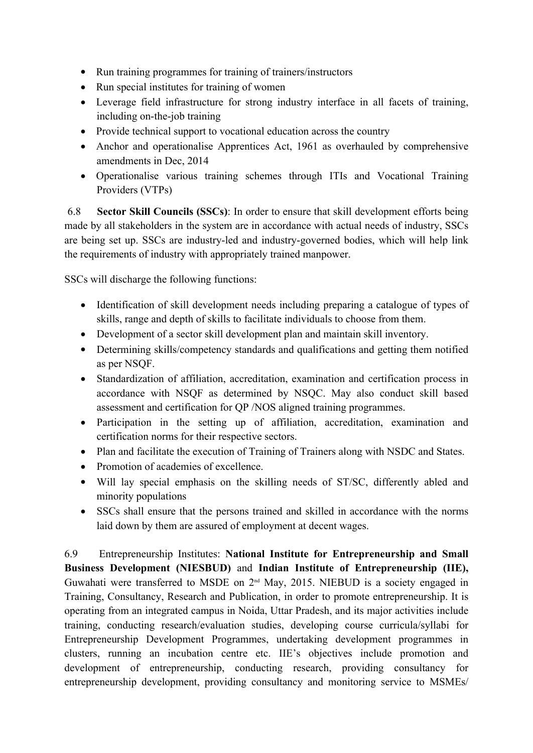- Run training programmes for training of trainers/instructors
- $\bullet$  Run special institutes for training of women
- Leverage field infrastructure for strong industry interface in all facets of training, including on-the-job training
- Provide technical support to vocational education across the country
- Anchor and operationalise Apprentices Act, 1961 as overhauled by comprehensive amendments in Dec, 2014
- Operationalise various training schemes through ITIs and Vocational Training Providers (VTPs)

6.8 **Sector Skill Councils (SSCs)**: In order to ensure that skill development efforts being made by all stakeholders in the system are in accordance with actual needs of industry, SSCs are being set up. SSCs are industry-led and industry-governed bodies, which will help link the requirements of industry with appropriately trained manpower.

SSCs will discharge the following functions:

- Identification of skill development needs including preparing a catalogue of types of skills, range and depth of skills to facilitate individuals to choose from them.
- Development of a sector skill development plan and maintain skill inventory.
- Determining skills/competency standards and qualifications and getting them notified as per NSQF.
- Standardization of affiliation, accreditation, examination and certification process in accordance with NSQF as determined by NSQC. May also conduct skill based assessment and certification for QP /NOS aligned training programmes.
- Participation in the setting up of affiliation, accreditation, examination and certification norms for their respective sectors.
- Plan and facilitate the execution of Training of Trainers along with NSDC and States.
- Promotion of academies of excellence.
- Will lay special emphasis on the skilling needs of ST/SC, differently abled and minority populations
- SSCs shall ensure that the persons trained and skilled in accordance with the norms laid down by them are assured of employment at decent wages.

6.9 Entrepreneurship Institutes: **National Institute for Entrepreneurship and Small Business Development (NIESBUD)**  and **Indian Institute of Entrepreneurship (IIE),** Guwahati were transferred to MSDE on  $2<sup>nd</sup>$  May, 2015. NIEBUD is a society engaged in Training, Consultancy, Research and Publication, in order to promote entrepreneurship. It is operating from an integrated campus in Noida, Uttar Pradesh, and its major activities include training, conducting research/evaluation studies, developing course curricula/syllabi for Entrepreneurship Development Programmes, undertaking development programmes in clusters, running an incubation centre etc. IIE's objectives include promotion and development of entrepreneurship, conducting research, providing consultancy for entrepreneurship development, providing consultancy and monitoring service to MSMEs/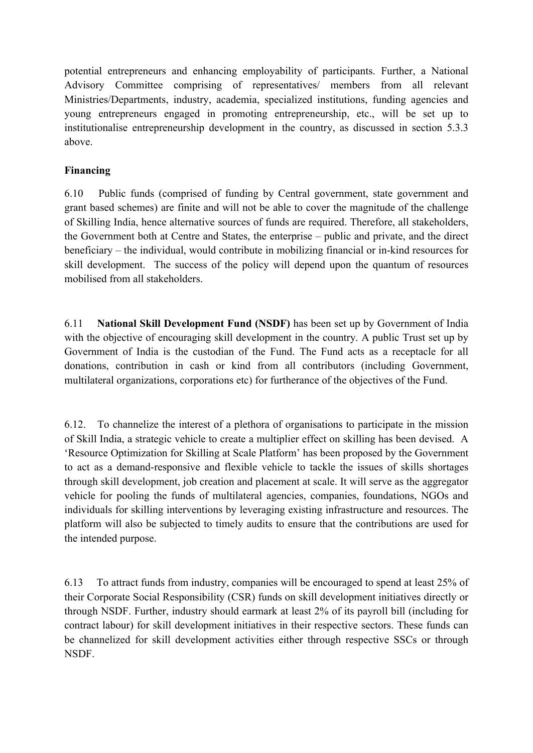potential entrepreneurs and enhancing employability of participants. Further, a National Advisory Committee comprising of representatives/ members from all relevant Ministries/Departments, industry, academia, specialized institutions, funding agencies and young entrepreneurs engaged in promoting entrepreneurship, etc., will be set up to institutionalise entrepreneurship development in the country, as discussed in section 5.3.3 above.

## **Financing**

6.10 Public funds (comprised of funding by Central government, state government and grant based schemes) are finite and will not be able to cover the magnitude of the challenge of Skilling India, hence alternative sources of funds are required. Therefore, all stakeholders, the Government both at Centre and States, the enterprise – public and private, and the direct beneficiary – the individual, would contribute in mobilizing financial or in-kind resources for skill development. The success of the policy will depend upon the quantum of resources mobilised from all stakeholders.

6.11 **National Skill Development Fund (NSDF)** has been set up by Government of India with the objective of encouraging skill development in the country. A public Trust set up by Government of India is the custodian of the Fund. The Fund acts as a receptacle for all donations, contribution in cash or kind from all contributors (including Government, multilateral organizations, corporations etc) for furtherance of the objectives of the Fund.

6.12. To channelize the interest of a plethora of organisations to participate in the mission of Skill India, a strategic vehicle to create a multiplier effect on skilling has been devised. A 'Resource Optimization for Skilling at Scale Platform' has been proposed by the Government to act as a demand-responsive and flexible vehicle to tackle the issues of skills shortages through skill development, job creation and placement at scale. It will serve as the aggregator vehicle for pooling the funds of multilateral agencies, companies, foundations, NGOs and individuals for skilling interventions by leveraging existing infrastructure and resources. The platform will also be subjected to timely audits to ensure that the contributions are used for the intended purpose.

6.13 To attract funds from industry, companies will be encouraged to spend at least 25% of their Corporate Social Responsibility (CSR) funds on skill development initiatives directly or through NSDF. Further, industry should earmark at least 2% of its payroll bill (including for contract labour) for skill development initiatives in their respective sectors. These funds can be channelized for skill development activities either through respective SSCs or through NSDF.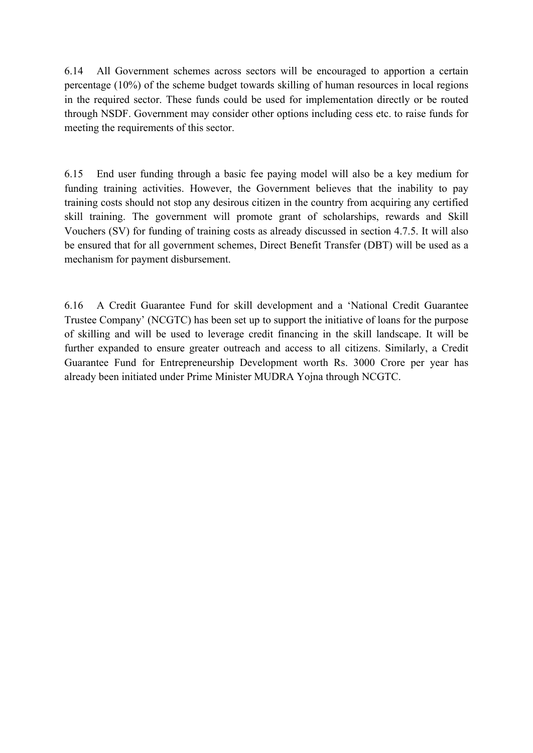6.14 All Government schemes across sectors will be encouraged to apportion a certain percentage (10%) of the scheme budget towards skilling of human resources in local regions in the required sector. These funds could be used for implementation directly or be routed through NSDF. Government may consider other options including cess etc. to raise funds for meeting the requirements of this sector.

6.15 End user funding through a basic fee paying model will also be a key medium for funding training activities. However, the Government believes that the inability to pay training costs should not stop any desirous citizen in the country from acquiring any certified skill training. The government will promote grant of scholarships, rewards and Skill Vouchers (SV) for funding of training costs as already discussed in section 4.7.5. It will also be ensured that for all government schemes, Direct Benefit Transfer (DBT) will be used as a mechanism for payment disbursement.

6.16 A Credit Guarantee Fund for skill development and a 'National Credit Guarantee Trustee Company' (NCGTC) has been set up to support the initiative of loans for the purpose of skilling and will be used to leverage credit financing in the skill landscape. It will be further expanded to ensure greater outreach and access to all citizens. Similarly, a Credit Guarantee Fund for Entrepreneurship Development worth Rs. 3000 Crore per year has already been initiated under Prime Minister MUDRA Yojna through NCGTC.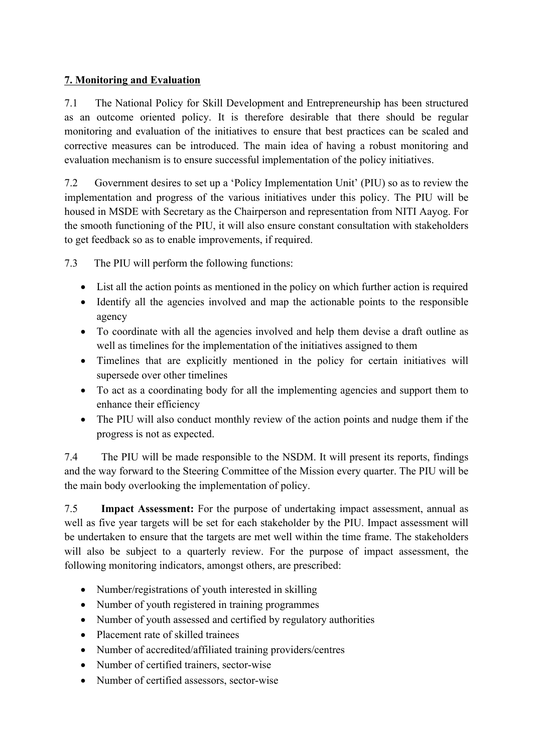## **7. Monitoring and Evaluation**

7.1 The National Policy for Skill Development and Entrepreneurship has been structured as an outcome oriented policy. It is therefore desirable that there should be regular monitoring and evaluation of the initiatives to ensure that best practices can be scaled and corrective measures can be introduced. The main idea of having a robust monitoring and evaluation mechanism is to ensure successful implementation of the policy initiatives.

7.2 Government desires to set up a 'Policy Implementation Unit' (PIU) so as to review the implementation and progress of the various initiatives under this policy. The PIU will be housed in MSDE with Secretary as the Chairperson and representation from NITI Aayog. For the smooth functioning of the PIU, it will also ensure constant consultation with stakeholders to get feedback so as to enable improvements, if required.

7.3 The PIU will perform the following functions:

- List all the action points as mentioned in the policy on which further action is required
- Identify all the agencies involved and map the actionable points to the responsible agency
- To coordinate with all the agencies involved and help them devise a draft outline as well as timelines for the implementation of the initiatives assigned to them
- Timelines that are explicitly mentioned in the policy for certain initiatives will supersede over other timelines
- To act as a coordinating body for all the implementing agencies and support them to enhance their efficiency
- The PIU will also conduct monthly review of the action points and nudge them if the progress is not as expected.

7.4 The PIU will be made responsible to the NSDM. It will present its reports, findings and the way forward to the Steering Committee of the Mission every quarter. The PIU will be the main body overlooking the implementation of policy.

7.5 **Impact Assessment:** For the purpose of undertaking impact assessment, annual as well as five year targets will be set for each stakeholder by the PIU. Impact assessment will be undertaken to ensure that the targets are met well within the time frame. The stakeholders will also be subject to a quarterly review. For the purpose of impact assessment, the following monitoring indicators, amongst others, are prescribed:

- Number/registrations of youth interested in skilling
- Number of youth registered in training programmes
- Number of youth assessed and certified by regulatory authorities
- $\bullet$  Placement rate of skilled trainees
- Number of accredited/affiliated training providers/centres
- Number of certified trainers, sector-wise
- Number of certified assessors, sector-wise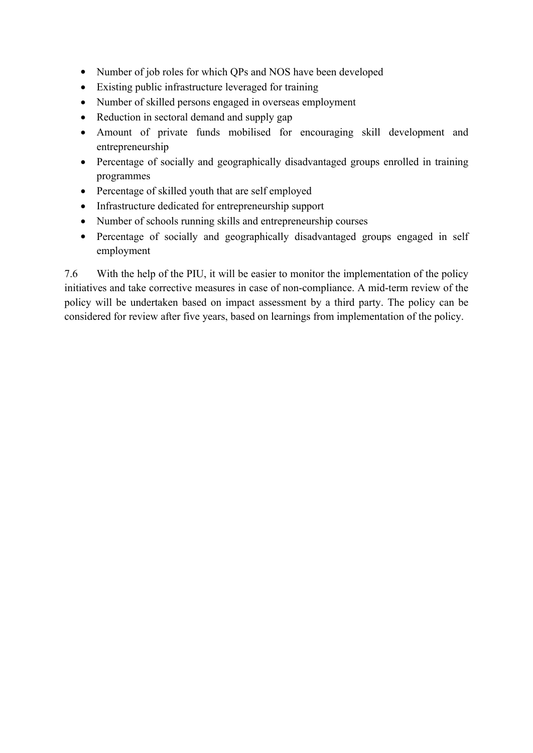- Number of job roles for which QPs and NOS have been developed
- Existing public infrastructure leveraged for training
- Number of skilled persons engaged in overseas employment
- Reduction in sectoral demand and supply gap
- Amount of private funds mobilised for encouraging skill development and entrepreneurship
- Percentage of socially and geographically disadvantaged groups enrolled in training programmes
- Percentage of skilled youth that are self employed
- Infrastructure dedicated for entrepreneurship support
- Number of schools running skills and entrepreneurship courses
- Percentage of socially and geographically disadvantaged groups engaged in self employment

7.6 With the help of the PIU, it will be easier to monitor the implementation of the policy initiatives and take corrective measures in case of non-compliance. A mid-term review of the policy will be undertaken based on impact assessment by a third party. The policy can be considered for review after five years, based on learnings from implementation of the policy.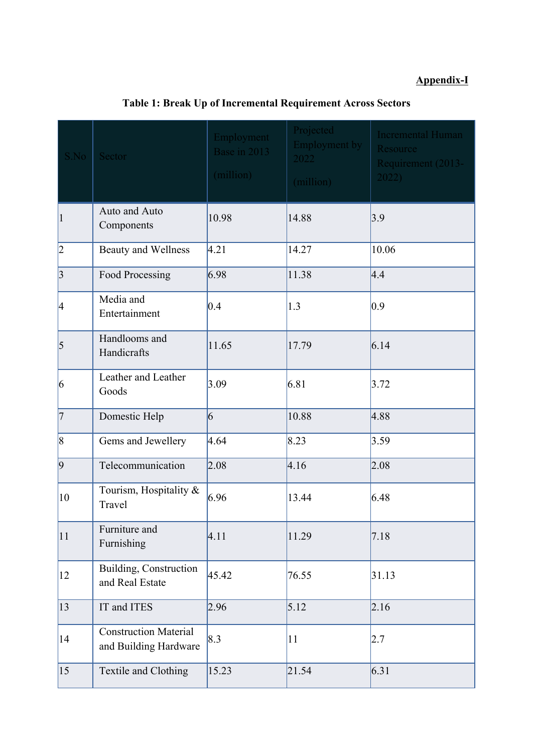# **Appendix-I**

| S.No            | Sector                                                | Employment<br>Base in 2013<br>(million) | Projected<br><b>Employment by</b><br>2022<br>(million) | <b>Incremental Human</b><br>Resource<br>Requirement (2013-<br>2022 |
|-----------------|-------------------------------------------------------|-----------------------------------------|--------------------------------------------------------|--------------------------------------------------------------------|
| $\vert$         | Auto and Auto<br>Components                           | 10.98                                   | 14.88                                                  | 3.9                                                                |
| 2               | <b>Beauty and Wellness</b>                            | 4.21                                    | 14.27                                                  | 10.06                                                              |
| 3               | Food Processing                                       | 6.98                                    | 11.38                                                  | 4.4                                                                |
| 4               | Media and<br>Entertainment                            | 0.4                                     | 1.3                                                    | 0.9                                                                |
| $\overline{5}$  | Handlooms and<br>Handicrafts                          | 11.65                                   | 17.79                                                  | 6.14                                                               |
| 6               | Leather and Leather<br>Goods                          | 3.09                                    | 6.81                                                   | 3.72                                                               |
| 7               | Domestic Help                                         | $\vert 6 \vert$                         | 10.88                                                  | 4.88                                                               |
| $\vert 8 \vert$ | Gems and Jewellery                                    | 4.64                                    | 8.23                                                   | 3.59                                                               |
| $\vert 9 \vert$ | Telecommunication                                     | 2.08                                    | 4.16                                                   | 2.08                                                               |
| 10              | Tourism, Hospitality &<br>Travel                      | 6.96                                    | 13.44                                                  | 6.48                                                               |
| 11              | Furniture and<br>Furnishing                           | 4.11                                    | 11.29                                                  | 7.18                                                               |
| $ 12\rangle$    | Building, Construction<br>and Real Estate             | 45.42                                   | 76.55                                                  | 31.13                                                              |
| 13              | IT and ITES                                           | 2.96                                    | 5.12                                                   | 2.16                                                               |
| 14              | <b>Construction Material</b><br>and Building Hardware | 8.3                                     | 11                                                     | 2.7                                                                |
| 15              | Textile and Clothing                                  | 15.23                                   | 21.54                                                  | 6.31                                                               |

# **Table 1: Break Up of Incremental Requirement Across Sectors**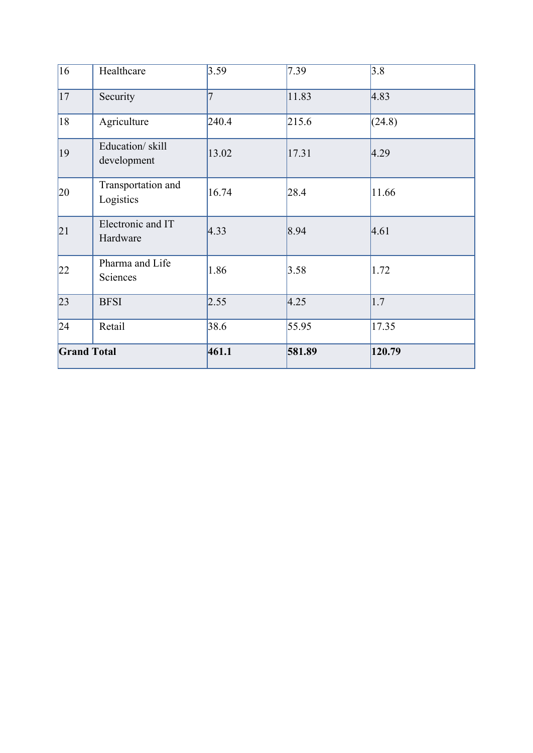| $\overline{16}$    | Healthcare                      | 3.59  | 7.39   | 3.8    |  |
|--------------------|---------------------------------|-------|--------|--------|--|
| 17                 | Security                        | 7     | 11.83  | 4.83   |  |
| 18                 | Agriculture                     | 240.4 | 215.6  | (24.8) |  |
| $ 19\rangle$       | Education/skill<br>development  | 13.02 | 17.31  | 4.29   |  |
| $ 20\rangle$       | Transportation and<br>Logistics | 16.74 | 28.4   | 11.66  |  |
| 21                 | Electronic and IT<br>Hardware   | 4.33  | 8.94   | 4.61   |  |
| 22                 | Pharma and Life<br>Sciences     | 1.86  | 3.58   | 1.72   |  |
| 23                 | <b>BFSI</b>                     | 2.55  | 4.25   | 1.7    |  |
| 24                 | Retail                          | 38.6  | 55.95  | 17.35  |  |
| <b>Grand Total</b> |                                 | 461.1 | 581.89 | 120.79 |  |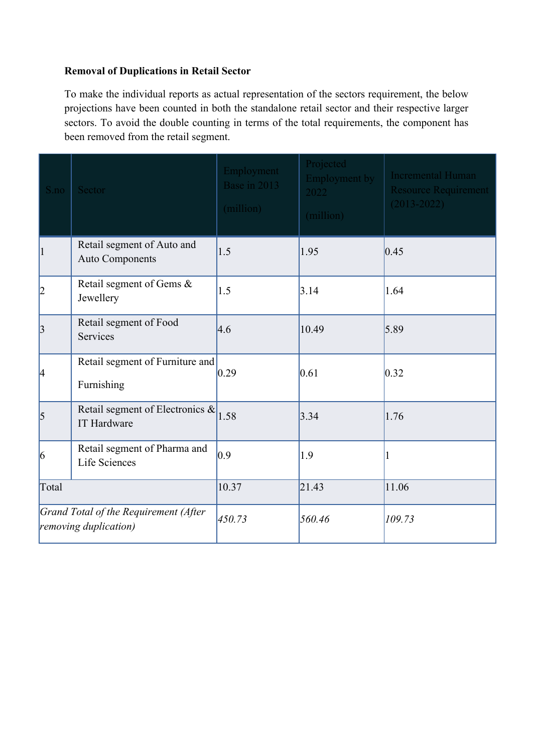#### **Removal of Duplications in Retail Sector**

To make the individual reports as actual representation of the sectors requirement, the below projections have been counted in both the standalone retail sector and their respective larger sectors. To avoid the double counting in terms of the total requirements, the component has been removed from the retail segment.

| S.no            | Sector                                                         | Employment<br>Base in 2013<br>(million) | Projected<br><b>Employment by</b><br>2022<br>(million) | <b>Incremental Human</b><br><b>Resource Requirement</b><br>$(2013 - 2022)$ |
|-----------------|----------------------------------------------------------------|-----------------------------------------|--------------------------------------------------------|----------------------------------------------------------------------------|
| $\vert$ 1       | Retail segment of Auto and<br><b>Auto Components</b>           | 1.5                                     | 1.95                                                   | 0.45                                                                       |
| 2               | Retail segment of Gems &<br>Jewellery                          | 1.5                                     | 3.14                                                   | 1.64                                                                       |
| 3               | Retail segment of Food<br>Services                             | 4.6                                     | 10.49                                                  | 5.89                                                                       |
| 4               | Retail segment of Furniture and<br>Furnishing                  | 0.29                                    | 0.61                                                   | 0.32                                                                       |
| $\vert$ 5       | Retail segment of Electronics &<br>IT Hardware                 | 1.58                                    | 3.34                                                   | 1.76                                                                       |
| $\vert 6 \vert$ | Retail segment of Pharma and<br>Life Sciences                  | $ 0.9\rangle$                           | 1.9                                                    |                                                                            |
| Total           |                                                                | 10.37                                   | 21.43                                                  | 11.06                                                                      |
|                 | Grand Total of the Requirement (After<br>removing duplication) | 450.73                                  | 560.46                                                 | 109.73                                                                     |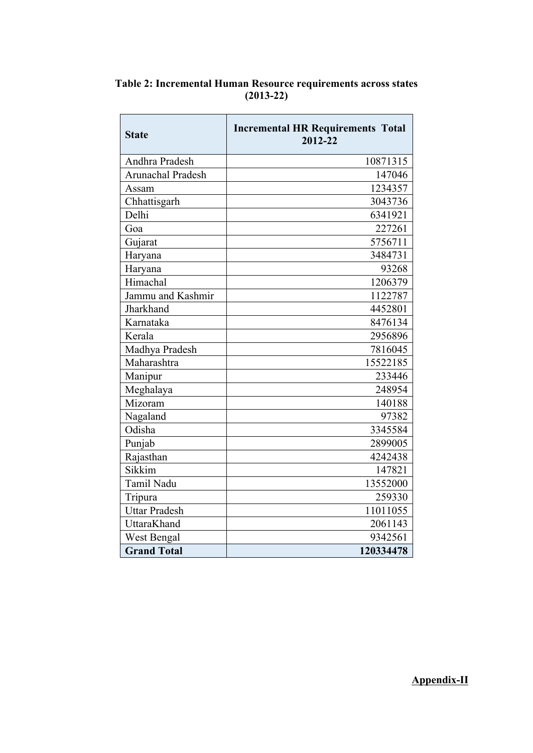| <b>State</b>         | <b>Incremental HR Requirements Total</b><br>2012-22 |  |  |  |  |
|----------------------|-----------------------------------------------------|--|--|--|--|
| Andhra Pradesh       | 10871315                                            |  |  |  |  |
| Arunachal Pradesh    | 147046                                              |  |  |  |  |
| Assam                | 1234357                                             |  |  |  |  |
| Chhattisgarh         | 3043736                                             |  |  |  |  |
| Delhi                | 6341921                                             |  |  |  |  |
| Goa                  | 227261                                              |  |  |  |  |
| Gujarat              | 5756711                                             |  |  |  |  |
| Haryana              | 3484731                                             |  |  |  |  |
| Haryana              | 93268                                               |  |  |  |  |
| Himachal             | 1206379                                             |  |  |  |  |
| Jammu and Kashmir    | 1122787                                             |  |  |  |  |
| Jharkhand            | 4452801                                             |  |  |  |  |
| Karnataka            | 8476134                                             |  |  |  |  |
| Kerala               | 2956896                                             |  |  |  |  |
| Madhya Pradesh       | 7816045                                             |  |  |  |  |
| Maharashtra          | 15522185                                            |  |  |  |  |
| Manipur              | 233446                                              |  |  |  |  |
| Meghalaya            | 248954                                              |  |  |  |  |
| Mizoram              | 140188                                              |  |  |  |  |
| Nagaland             | 97382                                               |  |  |  |  |
| Odisha               | 3345584                                             |  |  |  |  |
| Punjab               | 2899005                                             |  |  |  |  |
| Rajasthan            | 4242438                                             |  |  |  |  |
| Sikkim               | 147821                                              |  |  |  |  |
| Tamil Nadu           | 13552000                                            |  |  |  |  |
| Tripura              | 259330                                              |  |  |  |  |
| <b>Uttar Pradesh</b> | 11011055                                            |  |  |  |  |
| UttaraKhand          | 2061143                                             |  |  |  |  |
| West Bengal          | 9342561                                             |  |  |  |  |
| <b>Grand Total</b>   | 120334478                                           |  |  |  |  |

**Table 2: Incremental Human Resource requirements across states (201322)**

**Appendix-II**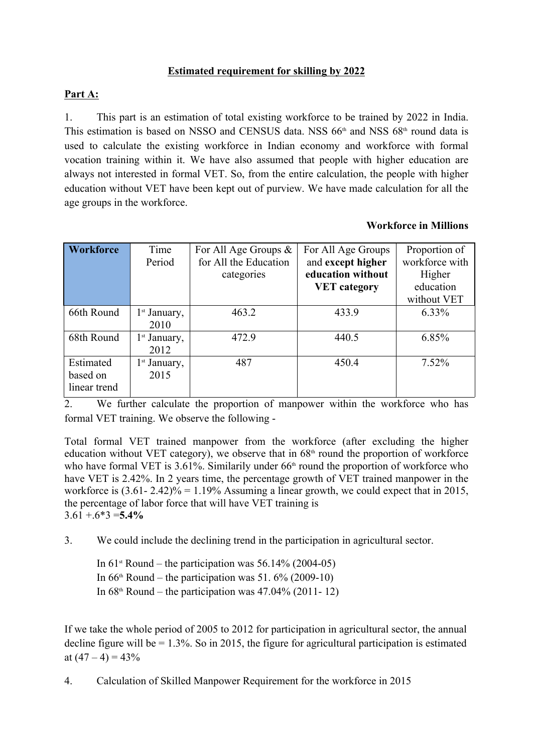#### **Estimated requirement for skilling by 2022**

## **Part A:**

1. This part is an estimation of total existing workforce to be trained by 2022 in India. This estimation is based on NSSO and CENSUS data. NSS  $66<sup>th</sup>$  and NSS  $68<sup>th</sup>$  round data is used to calculate the existing workforce in Indian economy and workforce with formal vocation training within it. We have also assumed that people with higher education are always not interested in formal VET. So, from the entire calculation, the people with higher education without VET have been kept out of purview. We have made calculation for all the age groups in the workforce.

#### **Workforce in Millions**

| Workforce    | Time           | For All Age Groups $\&$ | For All Age Groups  | Proportion of  |
|--------------|----------------|-------------------------|---------------------|----------------|
|              | Period         | for All the Education   | and except higher   | workforce with |
|              |                | categories              | education without   | Higher         |
|              |                |                         | <b>VET</b> category | education      |
|              |                |                         |                     | without VET    |
| 66th Round   | $1st$ January, | 463.2                   | 433.9               | $6.33\%$       |
|              | 2010           |                         |                     |                |
| 68th Round   | $1st$ January, | 472.9                   | 440.5               | 6.85%          |
|              | 2012           |                         |                     |                |
| Estimated    | $1st$ January, | 487                     | 450.4               | $7.52\%$       |
| based on     | 2015           |                         |                     |                |
| linear trend |                |                         |                     |                |

2. We further calculate the proportion of manpower within the workforce who has formal VET training. We observe the following

Total formal VET trained manpower from the workforce (after excluding the higher education without VET category), we observe that in  $68<sup>th</sup>$  round the proportion of workforce who have formal VET is  $3.61\%$ . Similarily under  $66<sup>th</sup>$  round the proportion of workforce who have VET is 2.42%. In 2 years time, the percentage growth of VET trained manpower in the workforce is  $(3.61 - 2.42)\% = 1.19\%$  Assuming a linear growth, we could expect that in 2015, the percentage of labor force that will have VET training is  $3.61 + 6*3 = 5.4\%$ 

3. We could include the declining trend in the participation in agricultural sector.

In  $61^{\text{st}}$  Round – the participation was  $56.14\%$  (2004-05) In  $66<sup>th</sup>$  Round – the participation was 51.  $6\%$  (2009-10) In  $68<sup>th</sup>$  Round – the participation was 47.04% (2011-12)

If we take the whole period of 2005 to 2012 for participation in agricultural sector, the annual decline figure will be  $= 1.3\%$ . So in 2015, the figure for agricultural participation is estimated at  $(47 – 4) = 43\%$ 

4. Calculation of Skilled Manpower Requirement for the workforce in 2015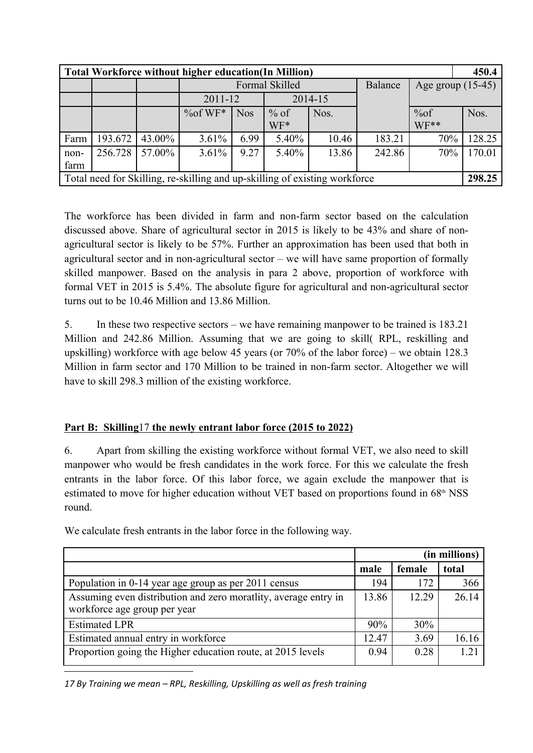|                                                                            | <b>Total Workforce without higher education(In Million)</b> |        |                        |            |        |       |                |                   | 450.4  |
|----------------------------------------------------------------------------|-------------------------------------------------------------|--------|------------------------|------------|--------|-------|----------------|-------------------|--------|
|                                                                            |                                                             |        | Formal Skilled         |            |        |       | <b>Balance</b> | Age group (15-45) |        |
|                                                                            |                                                             |        | 2014-15<br>$2011 - 12$ |            |        |       |                |                   |        |
|                                                                            |                                                             |        | $%$ of WF*             | <b>Nos</b> | $%$ of | Nos.  |                | %of               | Nos.   |
|                                                                            |                                                             |        |                        |            | WF*    |       |                | $WF**$            |        |
| Farm                                                                       | 193.672                                                     | 43.00% | 3.61%                  | 6.99       | 5.40%  | 10.46 | 183.21         | 70%               | 128.25 |
| non-                                                                       | 256.728                                                     | 57.00% | $3.61\%$               | 9.27       | 5.40%  | 13.86 | 242.86         | 70%               | 170.01 |
| farm                                                                       |                                                             |        |                        |            |        |       |                |                   |        |
| Total need for Skilling, re-skilling and up-skilling of existing workforce |                                                             |        |                        |            |        |       | 298.25         |                   |        |

The workforce has been divided in farm and non-farm sector based on the calculation discussed above. Share of agricultural sector in 2015 is likely to be 43% and share of nonagricultural sector is likely to be 57%. Further an approximation has been used that both in agricultural sector and in non-agricultural sector – we will have same proportion of formally skilled manpower. Based on the analysis in para 2 above, proportion of workforce with formal VET in 2015 is  $5.4\%$ . The absolute figure for agricultural and non-agricultural sector turns out to be 10.46 Million and 13.86 Million.

5. In these two respective sectors – we have remaining manpower to be trained is 183.21 Million and 242.86 Million. Assuming that we are going to skill( RPL, reskilling and upskilling) workforce with age below 45 years (or 70% of the labor force) – we obtain 128.3 Million in farm sector and 170 Million to be trained in non-farm sector. Altogether we will have to skill 298.3 million of the existing workforce.

## **Part B: Skilling**17 **the newly entrant labor force (2015 to 2022)**

6. Apart from skilling the existing workforce without formal VET, we also need to skill manpower who would be fresh candidates in the work force. For this we calculate the fresh entrants in the labor force. Of this labor force, we again exclude the manpower that is estimated to move for higher education without VET based on proportions found in  $68<sup>th</sup> NSS$ round.

|                                                                                                 | (in millions) |        |       |  |
|-------------------------------------------------------------------------------------------------|---------------|--------|-------|--|
|                                                                                                 | male          | female | total |  |
| Population in 0-14 year age group as per 2011 census                                            | 194           | 172    | 366   |  |
| Assuming even distribution and zero moratlity, average entry in<br>workforce age group per year | 13.86         | 12.29  | 26.14 |  |
| <b>Estimated LPR</b>                                                                            | 90%           | 30%    |       |  |
| Estimated annual entry in workforce                                                             | 12.47         | 3.69   | 16.16 |  |
| Proportion going the Higher education route, at 2015 levels                                     | 0.94          | 0.28   | 1.21  |  |

We calculate fresh entrants in the labor force in the following way.

*17 By Training we mean – RPL, Reskilling, Upskilling as well as fresh training*